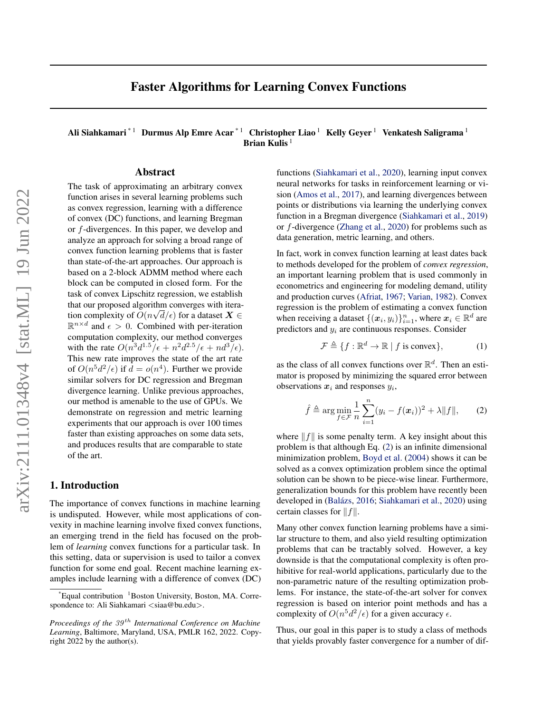# Faster Algorithms for Learning Convex Functions

Ali Siahkamari<sup>\* 1</sup> Durmus Alp Emre Acar<sup>\* 1</sup> Christopher Liao<sup>1</sup> Kelly Geyer<sup>1</sup> Venkatesh Saligrama<sup>1</sup> Brian Kulis<sup>1</sup>

## Abstract

The task of approximating an arbitrary convex function arises in several learning problems such as convex regression, learning with a difference of convex (DC) functions, and learning Bregman or f-divergences. In this paper, we develop and analyze an approach for solving a broad range of convex function learning problems that is faster than state-of-the-art approaches. Our approach is based on a 2-block ADMM method where each block can be computed in closed form. For the task of convex Lipschitz regression, we establish that our proposed algorithm converges with iteration complexity of  $O(n\sqrt{d/\epsilon})$  for a dataset  $\bm{X} \in$  $\mathbb{R}^{n \times d}$  and  $\epsilon > 0$ . Combined with per-iteration computation complexity, our method converges with the rate  $O(n^3d^{1.5}/\epsilon + n^2d^{2.5}/\epsilon + nd^3/\epsilon)$ . This new rate improves the state of the art rate of  $O(n^5d^2/\epsilon)$  if  $d = o(n^4)$ . Further we provide similar solvers for DC regression and Bregman divergence learning. Unlike previous approaches, our method is amenable to the use of GPUs. We demonstrate on regression and metric learning experiments that our approach is over 100 times faster than existing approaches on some data sets, and produces results that are comparable to state of the art.

## 1. Introduction

The importance of convex functions in machine learning is undisputed. However, while most applications of convexity in machine learning involve fixed convex functions, an emerging trend in the field has focused on the problem of *learning* convex functions for a particular task. In this setting, data or supervision is used to tailor a convex function for some end goal. Recent machine learning examples include learning with a difference of convex (DC)

functions [\(Siahkamari et al.,](#page-8-0) [2020\)](#page-8-0), learning input convex neural networks for tasks in reinforcement learning or vision [\(Amos et al.,](#page-8-1) [2017\)](#page-8-1), and learning divergences between points or distributions via learning the underlying convex function in a Bregman divergence [\(Siahkamari et al.,](#page-8-2) [2019\)](#page-8-2) or f-divergence [\(Zhang et al.,](#page-8-3) [2020\)](#page-8-3) for problems such as data generation, metric learning, and others.

In fact, work in convex function learning at least dates back to methods developed for the problem of *convex regression*, an important learning problem that is used commonly in econometrics and engineering for modeling demand, utility and production curves [\(Afriat,](#page-8-4) [1967;](#page-8-4) [Varian,](#page-8-5) [1982\)](#page-8-5). Convex regression is the problem of estimating a convex function when receiving a dataset  $\{(\boldsymbol{x}_i, y_i)\}_{i=1}^n$ , where  $\boldsymbol{x}_i \in \mathbb{R}^d$  are predictors and  $y_i$  are continuous responses. Consider

<span id="page-0-0"></span>
$$
\mathcal{F} \triangleq \{ f : \mathbb{R}^d \to \mathbb{R} \mid f \text{ is convex} \},\tag{1}
$$

as the class of all convex functions over  $\mathbb{R}^d$ . Then an estimator is proposed by minimizing the squared error between observations  $x_i$  and responses  $y_i$ ,

$$
\hat{f} \triangleq \arg\min_{f \in \mathcal{F}} \frac{1}{n} \sum_{i=1}^{n} (y_i - f(\boldsymbol{x}_i))^2 + \lambda ||f||, \qquad (2)
$$

where  $||f||$  is some penalty term. A key insight about this problem is that although Eq. [\(2\)](#page-0-0) is an infinite dimensional minimization problem, [Boyd et al.](#page-8-6) [\(2004\)](#page-8-6) shows it can be solved as a convex optimization problem since the optimal solution can be shown to be piece-wise linear. Furthermore, generalization bounds for this problem have recently been developed in (Balázs, [2016;](#page-8-7) [Siahkamari et al.,](#page-8-0) [2020\)](#page-8-0) using certain classes for  $|| f ||$ .

Many other convex function learning problems have a similar structure to them, and also yield resulting optimization problems that can be tractably solved. However, a key downside is that the computational complexity is often prohibitive for real-world applications, particularly due to the non-parametric nature of the resulting optimization problems. For instance, the state-of-the-art solver for convex regression is based on interior point methods and has a complexity of  $O(n^5d^2/\epsilon)$  for a given accuracy  $\epsilon$ .

Thus, our goal in this paper is to study a class of methods that yields provably faster convergence for a number of dif-

 $E$ qual contribution  $1$ Boston University, Boston, MA. Correspondence to: Ali Siahkamari <siaa@bu.edu>.

*Proceedings of the*  $39<sup>th</sup>$  *International Conference on Machine Learning*, Baltimore, Maryland, USA, PMLR 162, 2022. Copyright 2022 by the author(s).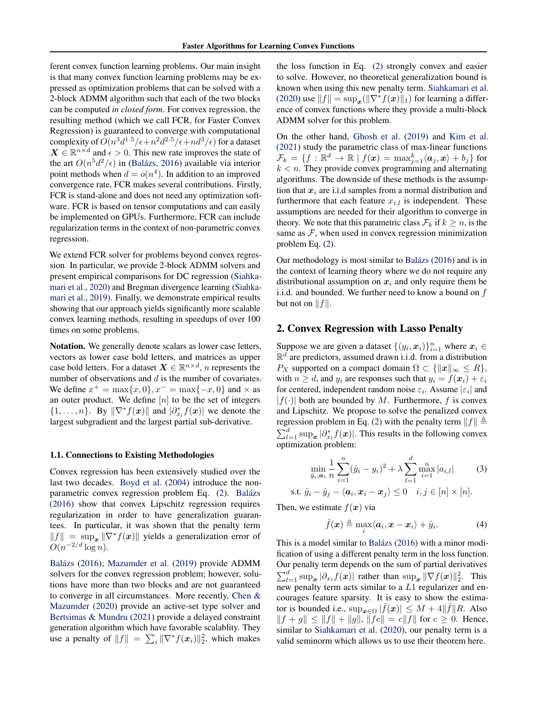ferent convex function learning problems. Our main insight is that many convex function learning problems may be expressed as optimization problems that can be solved with a 2-block ADMM algorithm such that each of the two blocks can be computed *in closed form*. For convex regression, the resulting method (which we call FCR, for Faster Convex Regression) is guaranteed to converge with computational complexity of  $O(n^3d^{1.5}/\epsilon+n^2d^{2.5}/\epsilon+n d^3/\epsilon)$  for a dataset  $\mathbf{X} \in \mathbb{R}^{n \times d}$  and  $\epsilon > 0$ . This new rate improves the state of the art  $O(n^5d^2/\epsilon)$  in (Balázs, [2016\)](#page-8-7) available via interior point methods when  $d = o(n^4)$ . In addition to an improved convergence rate, FCR makes several contributions. Firstly, FCR is stand-alone and does not need any optimization software. FCR is based on tensor computations and can easily be implemented on GPUs. Furthermore, FCR can include regularization terms in the context of non-parametric convex regression.

We extend FCR solver for problems beyond convex regression. In particular, we provide 2-block ADMM solvers and present empirical comparisons for DC regression [\(Siahka](#page-8-0)[mari et al.,](#page-8-0) [2020\)](#page-8-0) and Bregman divergence learning [\(Siahka](#page-8-2)[mari et al.,](#page-8-2) [2019\)](#page-8-2). Finally, we demonstrate empirical results showing that our approach yields significantly more scalable convex learning methods, resulting in speedups of over 100 times on some problems.

Notation. We generally denote scalars as lower case letters, vectors as lower case bold letters, and matrices as upper case bold letters. For a dataset  $\mathbf{X} \in \mathbb{R}^{n \times d}$ , n represents the number of observations and d is the number of covariates. We define  $x^+ = \max\{x, 0\}, x^- = \max\{-x, 0\}$  and  $\times$  as an outer product. We define  $[n]$  to be the set of integers  $\{1, \ldots, n\}$ . By  $\|\nabla^* f(\boldsymbol{x})\|$  and  $|\partial_{x_i}^* f(\boldsymbol{x})|$  we denote the largest subgradient and the largest partial sub-derivative.

#### 1.1. Connections to Existing Methodologies

Convex regression has been extensively studied over the last two decades. [Boyd et al.](#page-8-6) [\(2004\)](#page-8-6) introduce the non-parametric convex regression problem Eq. [\(2\)](#page-0-0). Balázs [\(2016\)](#page-8-7) show that convex Lipschitz regression requires regularization in order to have generalization guarantees. In particular, it was shown that the penalty term  $||f|| = \sup_{x} ||\nabla^* f(x)||$  yields a generalization error of  $O(n^{-2/d} \log n)$ .

Balázs [\(2016\)](#page-8-7); [Mazumder et al.](#page-8-8) [\(2019\)](#page-8-8) provide ADMM solvers for the convex regression problem; however, solutions have more than two blocks and are not guaranteed to converge in all circumstances. More recently, [Chen &](#page-8-9) [Mazumder](#page-8-9) [\(2020\)](#page-8-9) provide an active-set type solver and [Bertsimas & Mundru](#page-8-10) [\(2021\)](#page-8-10) provide a delayed constraint generation algorithm which have favorable scalablity. They use a penalty of  $||f|| = \sum_i ||\nabla^* f(\mathbf{x}_i)||_2^2$ , which makes

the loss function in Eq. [\(2\)](#page-0-0) strongly convex and easier to solve. However, no theoretical generalization bound is known when using this new penalty term. [Siahkamari et al.](#page-8-0) [\(2020\)](#page-8-0) use  $||f|| = \sup_x (||\nabla^* f(x)||_1)$  for learning a difference of convex functions where they provide a multi-block ADMM solver for this problem.

On the other hand, [Ghosh et al.](#page-8-11) [\(2019\)](#page-8-11) and [Kim et al.](#page-8-12) [\(2021\)](#page-8-12) study the parametric class of max-linear functions  $\mathcal{F}_k = \{f: \mathbb{R}^d \to \mathbb{R} \mid f(\boldsymbol{x}) = \max_{j=1}^k \langle \boldsymbol{a}_j, \boldsymbol{x}\rangle + b_j\}$  for  $k < n$ . They provide convex programming and alternating algorithms. The downside of these methods is the assumption that  $x_i$  are i.i.d samples from a normal distribution and furthermore that each feature  $x_{i,l}$  is independent. These assumptions are needed for their algorithm to converge in theory. We note that this parametric class  $\mathcal{F}_k$  if  $k \geq n$ , is the same as  $F$ , when used in convex regression minimization problem Eq. [\(2\)](#page-0-0).

Our methodology is most similar to Balázs  $(2016)$  and is in the context of learning theory where we do not require any distributional assumption on  $x_i$  and only require them be i.i.d. and bounded. We further need to know a bound on f but not on  $||f||$ .

## 2. Convex Regression with Lasso Penalty

Suppose we are given a dataset  $\{(y_i, x_i)\}_{i=1}^n$  where  $x_i \in$  $\mathbb{R}^d$  are predictors, assumed drawn i.i.d. from a distribution  $P_X$  supported on a compact domain  $\Omega \subset \{\Vert x \Vert_\infty \leq R\},\$ with  $n \geq d$ , and  $y_i$  are responses such that  $y_i = f(x_i) + \varepsilon_i$ for centered, independent random noise  $\varepsilon_i$ . Assume  $|\varepsilon_i|$  and  $|f(\cdot)|$  both are bounded by M. Furthermore, f is convex and Lipschitz. We propose to solve the penalized convex regression problem in Eq. [\(2\)](#page-0-0) with the penalty term  $||f|| \triangleq$  $\sum_{l=1}^{d} \sup_{\mathbf{x}} |\partial_{x_l}^* f(\mathbf{x})|$ . This results in the following convex optimization problem:

$$
\min_{\hat{y}_i, \mathbf{a}_i} \frac{1}{n} \sum_{i=1}^n (\hat{y}_i - y_i)^2 + \lambda \sum_{l=1}^d \max_{i=1}^n |a_{i,l}| \tag{3}
$$

s.t.  $\hat{y}_i - \hat{y}_j - \langle \boldsymbol{a}_i, \boldsymbol{x}_i - \boldsymbol{x}_j \rangle \leq 0$   $i, j \in [n] \times [n]$ .

Then, we estimate  $f(x)$  via

<span id="page-1-1"></span><span id="page-1-0"></span>
$$
\hat{f}(\boldsymbol{x}) \triangleq \max_{i} \langle \boldsymbol{a}_i, \boldsymbol{x} - \boldsymbol{x}_i \rangle + \hat{y}_i.
$$
 (4)

This is a model similar to Balázs  $(2016)$  with a minor modification of using a different penalty term in the loss function. Our penalty term depends on the sum of partial derivatives  $\sum_{l=1}^d \sup_{\bm{x}} |\partial_{x_l} f(\bm{x})|$  rather than  $\sup_{\bm{x}} \|\nabla f(\bm{x})\|_2^2$ . This new penalty term acts similar to a L1 regularizer and encourages feature sparsity. It is easy to show the estimator is bounded i.e.,  $\sup_{x \in \Omega} |\hat{f}(x)| \leq M + 4||\hat{f}||R$ . Also  $||f + g|| \le ||f|| + ||g||, ||fc|| = c||f||$  for  $c \ge 0$ . Hence, similar to [Siahkamari et al.](#page-8-0) [\(2020\)](#page-8-0), our penalty term is a valid seminorm which allows us to use their theorem here.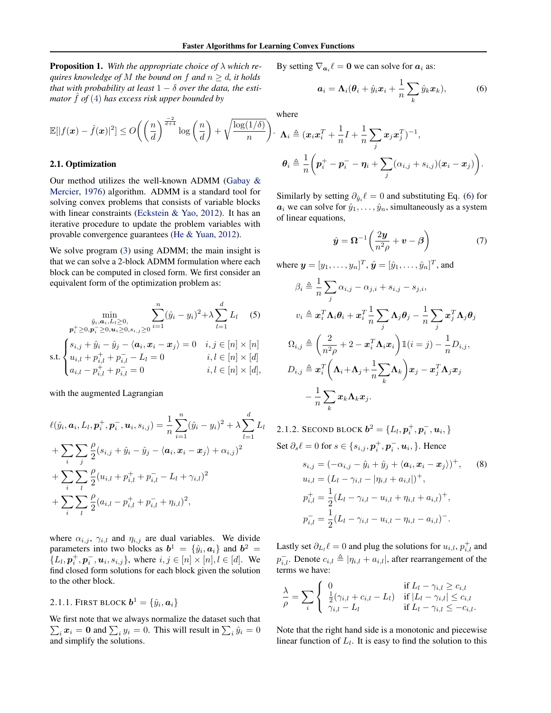Proposition 1. *With the appropriate choice of* λ *which requires knowledge of* M *the bound on*  $f$  *and*  $n \ge d$ *, it holds that with probability at least*  $1 - \delta$  *over the data, the estimator*  $\hat{f}$  *of* [\(4\)](#page-1-0) *has excess risk upper bounded by* 

$$
\mathbb{E}[|f(\boldsymbol{x})-\hat{f}(\boldsymbol{x})|^2] \leq O\bigg(\bigg(\frac{n}{d}\bigg)^{\frac{-2}{d+4}}\log\bigg(\frac{n}{d}\bigg)+\sqrt{\frac{\log(1/\delta)}{n}}\bigg).
$$

#### 2.1. Optimization

Our method utilizes the well-known ADMM [\(Gabay &](#page-8-13) [Mercier,](#page-8-13) [1976\)](#page-8-13) algorithm. ADMM is a standard tool for solving convex problems that consists of variable blocks with linear constraints [\(Eckstein & Yao,](#page-8-14) [2012\)](#page-8-14). It has an iterative procedure to update the problem variables with provable convergence guarantees [\(He & Yuan,](#page-8-15) [2012\)](#page-8-15).

We solve program [\(3\)](#page-1-1) using ADMM; the main insight is that we can solve a 2-block ADMM formulation where each block can be computed in closed form. We first consider an equivalent form of the optimization problem as:

$$
\min_{\hat{y}_i, \mathbf{a}_i, L_l \ge 0, \atop \mathbf{p}_i^+ \ge 0, \mathbf{p}_i^- \ge 0, \mathbf{u}_i \ge 0, s_{i,j} \ge 0} \sum_{i=1}^n (\hat{y}_i - y_i)^2 + \lambda \sum_{l=1}^d L_l \quad (5)
$$
\n
$$
\text{s.t.} \begin{cases}\ns_{i,j} + \hat{y}_i - \hat{y}_j - \langle \mathbf{a}_i, \mathbf{x}_i - \mathbf{x}_j \rangle = 0 & i, j \in [n] \times [n] \\
u_{i,l} + p_{i,l}^+ + p_{i,l}^- - L_l = 0 & i, l \in [n] \times [d] \\
a_{i,l} - p_{i,l}^+ + p_{i,l}^- = 0 & i, l \in [n] \times [d],\n\end{cases}
$$

with the augmented Lagrangian

$$
\ell(\hat{y}_i, \mathbf{a}_i, L_l, \mathbf{p}_i^+, \mathbf{p}_i^-, \mathbf{u}_i, s_{i,j}) = \frac{1}{n} \sum_{i=1}^n (\hat{y}_i - y_i)^2 + \lambda \sum_{l=1}^d L_l
$$
  
+ 
$$
\sum_i \sum_j \frac{\rho}{2} (s_{i,j} + \hat{y}_i - \hat{y}_j - \langle \mathbf{a}_i, \mathbf{x}_i - \mathbf{x}_j \rangle + \alpha_{i,j})^2
$$
  
+ 
$$
\sum_i \sum_l \frac{\rho}{2} (u_{i,l} + p_{i,l}^+ + p_{i,l}^- - L_l + \gamma_{i,l})^2
$$
  
+ 
$$
\sum_i \sum_l \frac{\rho}{2} (a_{i,l} - p_{i,l}^+ + p_{i,l}^- + \eta_{i,l})^2,
$$

where  $\alpha_{i,j}$ ,  $\gamma_{i,l}$  and  $\eta_{i,j}$  are dual variables. We divide parameters into two blocks as  $\mathbf{b}^1 = \{\hat{y}_i, \mathbf{a}_i\}$  and  $\mathbf{b}^2 = \mathbf{b}$  $\{L_l, \boldsymbol{p}_i^+, \boldsymbol{p}_i^-, \boldsymbol{u}_i, s_{i,j}\}\,$ , where  $i, j \in [n] \times [n], l \in [d]$ . We find closed form solutions for each block given the solution to the other block.

## 2.1.1. First block  $\boldsymbol{b}^1 = \{\hat{y}_i, \boldsymbol{a}_i\}$

We first note that we always normalize the dataset such that  $\sum_i x_i = 0$  and  $\sum_i y_i = 0$ . This will result in  $\sum_i \hat{y}_i = 0$ and simplify the solutions.

By setting  $\nabla_{a_i} \ell = 0$  we can solve for  $a_i$  as:

<span id="page-2-0"></span>
$$
\boldsymbol{a}_i = \boldsymbol{\Lambda}_i(\boldsymbol{\theta}_i + \hat{y}_i \boldsymbol{x}_i + \frac{1}{n} \sum_k \hat{y}_k \boldsymbol{x}_k), \tag{6}
$$

where

$$
\Lambda_i \triangleq (x_i x_i^T + \frac{1}{n}I + \frac{1}{n}\sum_j x_j x_j^T)^{-1},
$$
  

$$
\theta_i \triangleq \frac{1}{n} \left(p_i^+ - p_i^- - \eta_i + \sum_j (\alpha_{i,j} + s_{i,j})(x_i - x_j)\right).
$$

Similarly by setting  $\partial_{\hat{y}_i}\ell = 0$  and substituting Eq. [\(6\)](#page-2-0) for  $a_i$  we can solve for  $\hat{y}_1, \ldots, \hat{y}_n$ , simultaneously as a system of linear equations,

<span id="page-2-2"></span>
$$
\hat{\boldsymbol{y}} = \boldsymbol{\Omega}^{-1} \left( \frac{2\boldsymbol{y}}{n^2 \rho} + \boldsymbol{v} - \boldsymbol{\beta} \right) \tag{7}
$$

where  $\mathbf{y} = [y_1, \dots, y_n]^T$ ,  $\hat{\mathbf{y}} = [\hat{y}_1, \dots, \hat{y}_n]^T$ , and

<span id="page-2-1"></span>
$$
\beta_i \triangleq \frac{1}{n} \sum_j \alpha_{i,j} - \alpha_{j,i} + s_{i,j} - s_{j,i},
$$
\n
$$
v_i \triangleq \mathbf{x}_i^T \mathbf{\Lambda}_i \boldsymbol{\theta}_i + \mathbf{x}_i^T \frac{1}{n} \sum_j \mathbf{\Lambda}_j \boldsymbol{\theta}_j - \frac{1}{n} \sum_j \mathbf{x}_j^T \mathbf{\Lambda}_j \boldsymbol{\theta}_j
$$
\n
$$
\Omega_{i,j} \triangleq \left(\frac{2}{n^2 \rho} + 2 - \mathbf{x}_i^T \mathbf{\Lambda}_i \mathbf{x}_i\right) \mathbb{1}(i = j) - \frac{1}{n} D_{i,j},
$$
\n
$$
D_{i,j} \triangleq \mathbf{x}_i^T \left(\mathbf{\Lambda}_i + \mathbf{\Lambda}_j + \frac{1}{n} \sum_k \mathbf{\Lambda}_k\right) \mathbf{x}_j - \mathbf{x}_j^T \mathbf{\Lambda}_j \mathbf{x}_j
$$
\n
$$
- \frac{1}{n} \sum_k \mathbf{x}_k \mathbf{\Lambda}_k \mathbf{x}_j.
$$

<span id="page-2-4"></span>2.1.2. Second block  $\boldsymbol{b}^2 = \{L_l, \boldsymbol{p}_i^+, \boldsymbol{p}_i^-, \boldsymbol{u}_i, \}$ Set  $\partial_s \ell = 0$  for  $s \in \{s_{i,j}, \boldsymbol{p}_i^+, \boldsymbol{p}_i^-, \boldsymbol{u}_i, \}$ . Hence

<span id="page-2-3"></span>
$$
s_{i,j} = (-\alpha_{i,j} - \hat{y}_i + \hat{y}_j + \langle \mathbf{a}_i, \mathbf{x}_i - \mathbf{x}_j \rangle)^+, \quad (8)
$$
  
\n
$$
u_{i,l} = (L_l - \gamma_{i,l} - |\eta_{i,l} + a_{i,l}|)^+, \np_{i,l}^+ = \frac{1}{2}(L_l - \gamma_{i,l} - u_{i,l} + \eta_{i,l} + a_{i,l})^+, \np_{i,l}^- = \frac{1}{2}(L_l - \gamma_{i,l} - u_{i,l} - \eta_{i,l} - a_{i,l})^-.
$$

Lastly set  $\partial_{L_l} \ell = 0$  and plug the solutions for  $u_{i,l}, p_{i,l}^+$  and  $p_{i,l}^-$ . Denote  $c_{i,l} \triangleq |\eta_{i,l} + a_{i,l}|$ , after rearrangement of the terms we have:

$$
\frac{\lambda}{\rho} = \sum_{i} \begin{cases} 0 & \text{if } L_l - \gamma_{i,l} \ge c_{i,l} \\ \frac{1}{2}(\gamma_{i,l} + c_{i,l} - L_l) & \text{if } |L_l - \gamma_{i,l}| \le c_{i,l} \\ \gamma_{i,l} - L_l & \text{if } L_l - \gamma_{i,l} \le -c_{i,l}. \end{cases}
$$

Note that the right hand side is a monotonic and piecewise linear function of  $L_l$ . It is easy to find the solution to this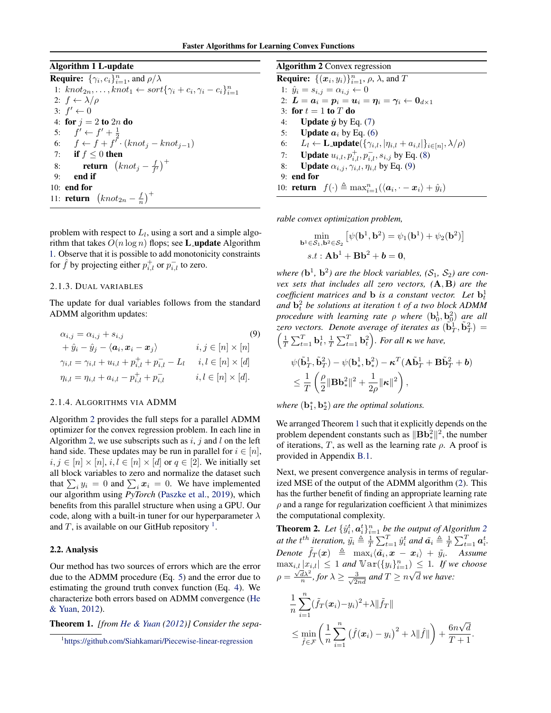### Algorithm 1 L-update

<span id="page-3-0"></span>**Require:**  $\{\gamma_i, c_i\}_{i=1}^n$ , and  $\rho/\lambda$ 1:  $knot_{2n}, \ldots, knot_1 \leftarrow sort\{\gamma_i + c_i, \gamma_i - c_i\}_{i=1}^n$ 2:  $f \leftarrow \lambda/\rho$ 3:  $f' \leftarrow 0$ 4: for  $j = 2$  to  $2n$  do 5:  $f' \leftarrow f' + \frac{1}{2}$ <br>6:  $f \leftarrow f + f' \cdot (knot_j - knot_{j-1})$ 7: if  $f \leq 0$  then 8: **return**  $\left(knot_j - \frac{f}{f'}\right)^+$ 9: end if 10: end for 11: **return**  $\left(knot_{2n} - \frac{f}{n}\right)^+$ 

problem with respect to  $L_l$ , using a sort and a simple algorithm that takes  $O(n \log n)$  flops; see **L** update Algorithm [1.](#page-3-0) Observe that it is possible to add monotonicity constraints for  $\hat{f}$  by projecting either  $p_{i,l}^+$  or  $p_{i,l}^-$  to zero.

#### 2.1.3. DUAL VARIABLES

The update for dual variables follows from the standard ADMM algorithm updates:

$$
\alpha_{i,j} = \alpha_{i,j} + s_{i,j} \tag{9}
$$
\n
$$
+ \hat{y}_i - \hat{y}_j - \langle \mathbf{a}_i, \mathbf{x}_i - \mathbf{x}_j \rangle \qquad i, j \in [n] \times [n]
$$
\n
$$
\gamma_{i,l} = \gamma_{i,l} + u_{i,l} + p_{i,l}^+ + p_{i,l}^- - L_l \qquad i, l \in [n] \times [d]
$$
\n
$$
\eta_{i,l} = \eta_{i,l} + a_{i,l} - p_{i,l}^+ + p_{i,l}^- \qquad i, l \in [n] \times [d].
$$

#### 2.1.4. ALGORITHMS VIA ADMM

Algorithm [2](#page-3-1) provides the full steps for a parallel ADMM optimizer for the convex regression problem. In each line in Algorithm [2,](#page-3-1) we use subscripts such as  $i, j$  and l on the left hand side. These updates may be run in parallel for  $i \in [n]$ ,  $i, j \in [n] \times [n], i, l \in [n] \times [d]$  or  $q \in [2]$ . We initially set all block variables to zero and normalize the dataset such that  $\sum_i y_i = 0$  and  $\sum_i x_i = 0$ . We have implemented our algorithm using *PyTorch* [\(Paszke et al.,](#page-8-16) [2019\)](#page-8-16), which benefits from this parallel structure when using a GPU. Our code, along with a built-in tuner for our hyperparameter  $\lambda$ and  $T$ , is available on our GitHub repository <sup>[1](#page-3-2)</sup>.

#### 2.2. Analysis

Our method has two sources of errors which are the error due to the ADMM procedure (Eq. [5\)](#page-2-1) and the error due to estimating the ground truth convex function (Eq. [4\)](#page-1-0). We characterize both errors based on ADMM convergence [\(He](#page-8-15) [& Yuan,](#page-8-15) [2012\)](#page-8-15).

<span id="page-3-4"></span>Theorem 1. *[from [He & Yuan](#page-8-15) [\(2012\)](#page-8-15)] Consider the sepa-*

<span id="page-3-1"></span>

| <b>Algorithm 2</b> Convex regression                                                                                                                              |
|-------------------------------------------------------------------------------------------------------------------------------------------------------------------|
| <b>Require:</b> $\{(x_i, y_i)\}_{i=1}^n$ , $\rho$ , $\lambda$ , and T                                                                                             |
| 1: $\hat{y}_i = s_{i,j} = \alpha_{i,j} \leftarrow 0$                                                                                                              |
| 2: $\boldsymbol{L} = \boldsymbol{a}_i = \boldsymbol{p}_i = \boldsymbol{u}_i = \boldsymbol{\eta}_i = \boldsymbol{\gamma}_i \leftarrow \boldsymbol{0}_{d \times 1}$ |
| 3: for $t=1$ to T do                                                                                                                                              |
| 4: <b>Update</b> $\hat{y}$ by Eq. (7)                                                                                                                             |
| 5: <b>Update</b> $a_i$ by Eq. (6)                                                                                                                                 |
| 6: $L_l \leftarrow \textbf{L}_l$ $\text{update}(\{\gamma_{i,l},  \eta_{i,l} + a_{i,l} \}_{i \in [n]}, \lambda/\rho)$                                              |
| 7: <b>Update</b> $u_{i,l}, p_{i,l}^+, p_{i,l}^-, s_{i,j}$ by Eq. (8)                                                                                              |
| <b>Update</b> $\alpha_{i,j}, \gamma_{i,l}, \eta_{i,l}$ by Eq. (9)<br>8:                                                                                           |
| $9:$ end for                                                                                                                                                      |
| 10: <b>return</b> $f(\cdot) \triangleq \max_{i=1}^n (\langle a_i, \cdot - x_i \rangle + \hat{y}_i)$                                                               |

*rable convex optimization problem,*

$$
\min_{\mathbf{b}^1 \in \mathcal{S}_1, \mathbf{b}^2 \in \mathcal{S}_2} \left[ \psi(\mathbf{b}^1, \mathbf{b}^2) = \psi_1(\mathbf{b}^1) + \psi_2(\mathbf{b}^2) \right]
$$
  
s.t:  $\mathbf{Ab}^1 + \mathbf{Bb}^2 + \mathbf{b} = \mathbf{0}$ ,

where  $(b^1, b^2)$  are the block variables,  $(S_1, S_2)$  are con*vex sets that includes all zero vectors, (*A, B*) are the* coefficient matrices and **b** is a constant vector. Let  $\mathbf{b}_t^1$ and  $\mathbf{b}_t^2$  *be solutions at iteration* t *of a two block ADMM* procedure with learning rate  $\rho$  where  $(\mathbf{b}_0^1, \mathbf{b}_0^2)$  are all zero vectors. Denote average of iterates as  $(\tilde{\mathbf{b}}_T^1, \tilde{\mathbf{b}}_T^2)$  =  $\left(\frac{1}{T}\sum_{t=1}^T \mathbf{b}_t^1, \frac{1}{T}\sum_{t=1}^T \mathbf{b}_t^2\right)$ *. For all*  $\kappa$  *we have,* 

<span id="page-3-3"></span>
$$
\begin{aligned} & \psi(\tilde{\mathbf{b}}_T^1, \tilde{\mathbf{b}}_T^2) - \psi(\mathbf{b}_*^1, \mathbf{b}_*^2) - \boldsymbol{\kappa}^T (\mathbf{A} \tilde{\mathbf{b}}_T^1 + \mathbf{B} \tilde{\mathbf{b}}_T^2 + \boldsymbol{b}) \\ & \leq \frac{1}{T} \left( \frac{\rho}{2} \|\mathbf{B} \mathbf{b}_*^2\|^2 + \frac{1}{2\rho} \|\boldsymbol{\kappa}\|^2 \right), \end{aligned}
$$

where  $(\mathbf{b}_1^*, \mathbf{b}_2^*)$  are the optimal solutions.

We arranged Theorem [1](#page-3-4) such that it explicitly depends on the problem dependent constants such as  $\|\mathbf{B}\mathbf{b}_*^2\|^2$ , the number of iterations, T, as well as the learning rate  $\rho$ . A proof is provided in Appendix [B.1.](#page-9-0)

Next, we present convergence analysis in terms of regularized MSE of the output of the ADMM algorithm [\(2\)](#page-3-1). This has the further benefit of finding an appropriate learning rate  $\rho$  and a range for regularization coefficient  $\lambda$  that minimizes the computational complexity.

<span id="page-3-5"></span>**Theorem [2](#page-3-1).** Let  $\{\hat{y}_i^t, \mathbf{a}_i^t\}_{i=1}^n$  be the output of Algorithm 2 *at the t<sup>th</sup> iteration,*  $\tilde{y}_i \triangleq \frac{1}{T} \sum_{t=1}^T \hat{y}_i^t$  and  $\tilde{a}_i \triangleq \frac{1}{T} \sum_{t=1}^T a_i^t$ .  $Denote \ \ \tilde{f}_T(\boldsymbol{x}) \ \triangleq \ \ \max_i \langle \tilde{a_i}, \boldsymbol{x} \ - \ \boldsymbol{x_i} \rangle \ + \ \tilde{y_i}. \quad \ Assume$  $\max_{i,l} |x_{i,l}| \leq 1$  and  $\mathbb{Var}(\{y_i\}_{i=1}^n) \leq 1$ . If we choose  $\rho = \frac{\sqrt{d\lambda^2}}{n}$ , for  $\lambda \ge \frac{3}{\sqrt{2nd}}$  and  $T \ge n$ √ d *we have:*

$$
\frac{1}{n}\sum_{i=1}^{n}(\tilde{f}_{T}(\boldsymbol{x}_{i})-y_{i})^{2}+\lambda\|\tilde{f}_{T}\|
$$
\n
$$
\leq \min_{\hat{f}\in\mathcal{F}}\left(\frac{1}{n}\sum_{i=1}^{n}\left(\hat{f}(\boldsymbol{x}_{i})-y_{i}\right)^{2}+\lambda\|\hat{f}\|\right)+\frac{6n\sqrt{d}}{T+1}.
$$

<span id="page-3-2"></span><sup>1</sup> <https://github.com/Siahkamari/Piecewise-linear-regression>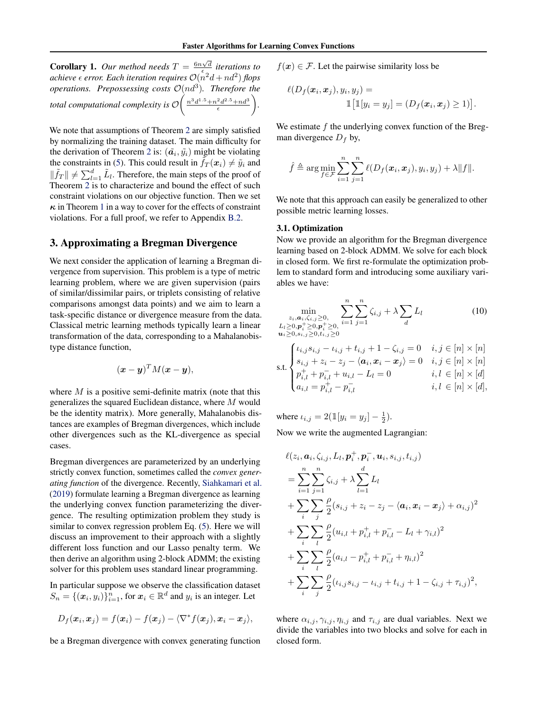**Corollary 1.** Our method needs  $T = \frac{6n\sqrt{d}}{6}$  iterations to achieve  $\epsilon$  error. Each iteration requires  $\mathcal{O}(n^2d + nd^2)$  flops *operations. Prepossessing costs*  $\mathcal{O}(nd^3)$ *. Therefore the* total computational complexity is  $\mathcal{O}\left(\frac{n^3d^{1.5}+n^2d^{2.5}+nd^3}{\epsilon}\right)$ *.*

We note that assumptions of Theorem [2](#page-3-5) are simply satisfied by normalizing the training dataset. The main difficulty for the derivation of Theorem [2](#page-3-5) is:  $(\tilde{a_i}, \tilde{y_i})$  might be violating the constraints in [\(5\)](#page-2-1). This could result in  $\tilde{f}_T(x_i) \neq \tilde{y}_i$  and  $\|\tilde{f}_T\| \neq \sum_{l=1}^d \tilde{L}_l$ . Therefore, the main steps of the proof of Theorem [2](#page-3-5) is to characterize and bound the effect of such constraint violations on our objective function. Then we set  $\kappa$  in Theorem [1](#page-3-4) in a way to cover for the effects of constraint violations. For a full proof, we refer to Appendix [B.2.](#page-12-0)

## 3. Approximating a Bregman Divergence

We next consider the application of learning a Bregman divergence from supervision. This problem is a type of metric learning problem, where we are given supervision (pairs of similar/dissimilar pairs, or triplets consisting of relative comparisons amongst data points) and we aim to learn a task-specific distance or divergence measure from the data. Classical metric learning methods typically learn a linear transformation of the data, corresponding to a Mahalanobistype distance function,

$$
(\boldsymbol{x}-\boldsymbol{y})^T M (\boldsymbol{x}-\boldsymbol{y}),
$$

where  $M$  is a positive semi-definite matrix (note that this generalizes the squared Euclidean distance, where M would be the identity matrix). More generally, Mahalanobis distances are examples of Bregman divergences, which include other divergences such as the KL-divergence as special cases.

Bregman divergences are parameterized by an underlying strictly convex function, sometimes called the *convex generating function* of the divergence. Recently, [Siahkamari et al.](#page-8-2) [\(2019\)](#page-8-2) formulate learning a Bregman divergence as learning the underlying convex function parameterizing the divergence. The resulting optimization problem they study is similar to convex regression problem Eq. [\(5\)](#page-2-1). Here we will discuss an improvement to their approach with a slightly different loss function and our Lasso penalty term. We then derive an algorithm using 2-block ADMM; the existing solver for this problem uses standard linear programming.

In particular suppose we observe the classification dataset  $S_n = \{(\boldsymbol{x}_i, y_i)\}_{i=1}^n$ , for  $\boldsymbol{x}_i \in \mathbb{R}^d$  and  $y_i$  is an integer. Let

$$
D_f(\boldsymbol{x}_i, \boldsymbol{x}_j) = f(\boldsymbol{x}_i) - f(\boldsymbol{x}_j) - \langle \nabla^* f(\boldsymbol{x}_j), \boldsymbol{x}_i - \boldsymbol{x}_j \rangle,
$$

be a Bregman divergence with convex generating function

 $f(x) \in \mathcal{F}$ . Let the pairwise similarity loss be

$$
\ell(D_f(\boldsymbol{x}_i, \boldsymbol{x}_j), y_i, y_j) =
$$
  

$$
\mathbb{I}[\mathbb{I}[y_i = y_j] = (D_f(\boldsymbol{x}_i, \boldsymbol{x}_j) \ge 1)].
$$

We estimate  $f$  the underlying convex function of the Bregman divergence  $D_f$  by,

$$
\hat{f} \triangleq \arg \min_{f \in \mathcal{F}} \sum_{i=1}^n \sum_{j=1}^n \ell(D_f(\boldsymbol{x}_i, \boldsymbol{x}_j), y_i, y_j) + \lambda \|f\|.
$$

We note that this approach can easily be generalized to other possible metric learning losses.

#### 3.1. Optimization

Now we provide an algorithm for the Bregman divergence learning based on 2-block ADMM. We solve for each block in closed form. We first re-formulate the optimization problem to standard form and introducing some auxiliary variables we have:

<span id="page-4-0"></span>
$$
\min_{\substack{z_i, a_i, \zeta_{i,j} \ge 0, \\ L_l \ge 0, p_i^+ \ge 0, p_i^+ \ge 0, \\ u_i \ge 0, s_{i,j} \ge 0, t_{i,j}^+ \ge 0}} \sum_{i=1}^n \sum_{j=1}^n \zeta_{i,j} + \lambda \sum_d L_l
$$
\n(10)

$$
\text{s.t.} \begin{cases} \iota_{i,j} s_{i,j} - \iota_{i,j} + t_{i,j} + 1 - \zeta_{i,j} = 0 & i, j \in [n] \times [n] \\ s_{i,j} + z_i - z_j - \langle a_i, x_i - x_j \rangle = 0 & i, j \in [n] \times [n] \\ p_{i,l}^+ + p_{i,l}^- + u_{i,l} - L_l = 0 & i, l \in [n] \times [d] \\ a_{i,l} = p_{i,l}^+ - p_{i,l}^- & i, l \in [n] \times [d], \end{cases}
$$

where  $u_{i,j} = 2(\mathbb{1}[y_i = y_j] - \frac{1}{2}).$ 

Now we write the augmented Lagrangian:

$$
\ell(z_i, a_i, \zeta_{i,j}, L_l, p_i^+, p_i^-, u_i, s_{i,j}, t_{i,j})
$$
\n
$$
= \sum_{i=1}^n \sum_{j=1}^n \zeta_{i,j} + \lambda \sum_{l=1}^d L_l
$$
\n
$$
+ \sum_i \sum_j \frac{\rho}{2} (s_{i,j} + z_i - z_j - \langle a_i, x_i - x_j \rangle + \alpha_{i,j})^2
$$
\n
$$
+ \sum_i \sum_l \frac{\rho}{2} (u_{i,l} + p_{i,l}^+ + p_{i,l}^- - L_l + \gamma_{i,l})^2
$$
\n
$$
+ \sum_i \sum_l \frac{\rho}{2} (a_{i,l} - p_{i,l}^+ + p_{i,l}^- + \eta_{i,l})^2
$$
\n
$$
+ \sum_i \sum_j \frac{\rho}{2} (t_{i,j} s_{i,j} - t_{i,j} + t_{i,j} + 1 - \zeta_{i,j} + \tau_{i,j})^2,
$$

where  $\alpha_{i,j}, \gamma_{i,j}, \eta_{i,j}$  and  $\tau_{i,j}$  are dual variables. Next we divide the variables into two blocks and solve for each in closed form.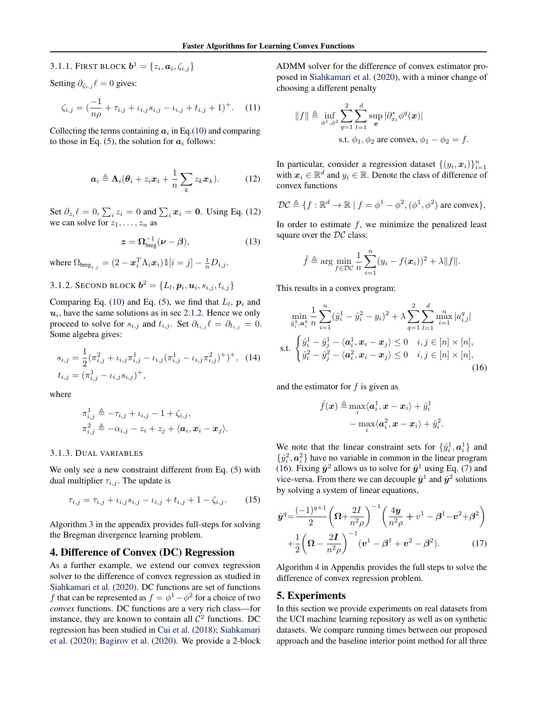3.1.1. First block  $\boldsymbol{b}^1 = \{z_i, \boldsymbol{a}_i, \zeta_{i,j}\}$ 

Setting  $\partial_{\zeta_{i,j}} \ell = 0$  gives:

$$
\zeta_{i,j} = \left(\frac{-1}{n\rho} + \tau_{i,j} + \iota_{i,j} s_{i,j} - \iota_{i,j} + t_{i,j} + 1\right)^{+}.
$$
 (11)

Collecting the terms containing  $a_i$  in Eq.[\(10\)](#page-4-0) and comparing to those in Eq. [\(5\)](#page-2-1), the solution for  $a_i$  follows:

$$
\boldsymbol{a}_i \triangleq \boldsymbol{\Lambda}_i(\boldsymbol{\theta}_i + z_i \boldsymbol{x}_i + \frac{1}{n} \sum_k z_k \boldsymbol{x}_k). \hspace{1cm} (12)
$$

Set  $\partial_{z_i} \ell = 0$ ,  $\sum_i z_i = 0$  and  $\sum_i x_i = 0$ . Using Eq. [\(12\)](#page-5-0) we can solve for  $z_1, \ldots, z_n$  as

$$
z = \Omega_{\text{breg}}^{-1}(\nu - \beta), \tag{13}
$$

where  $\Omega_{\text{breg}_{i,j}} = (2 - \boldsymbol{x}_i^T \Lambda_i \boldsymbol{x}_i) \mathbb{1}[i = j] - \frac{1}{n} D_{i,j}$ .

3.1.2. Second block  $\boldsymbol{b}^2 = \{L_l, \boldsymbol{p}_i, \boldsymbol{u}_i, s_{i,j}, t_{i,j}\}$ 

Comparing Eq. [\(10\)](#page-4-0) and Eq. [\(5\)](#page-2-1), we find that  $L_l$ ,  $p_i$  and  $u_i$ , have the same solutions as in sec [2.1.2.](#page-2-4) Hence we only proceed to solve for  $s_{i,j}$  and  $t_{i,j}$ . Set  $\partial_{t_{i,j}} \ell = \partial_{t_{i,j}} = 0$ . Some algebra gives:

$$
s_{i,j} = \frac{1}{2} (\pi_{i,j}^2 + \iota_{i,j} \pi_{i,j}^1 - \iota_{i,j} (\pi_{i,j}^1 - \iota_{i,j} \pi_{i,j}^2)^+)^+, \tag{14}
$$
  

$$
t_{i,j} = (\pi_{i,j}^1 - \iota_{i,j} s_{i,j})^+,
$$

where

$$
\begin{aligned} \pi_{i,j}^1 &\triangleq -\tau_{i,j} + \iota_{i,j} - 1 + \zeta_{i,j}, \\ \pi_{i,j}^2 &\triangleq -\alpha_{i,j} - z_i + z_j + \langle \mathbf{a}_i, \mathbf{x}_i - \mathbf{x}_j \rangle. \end{aligned}
$$

#### 3.1.3. DUAL VARIABLES

We only see a new constraint different from Eq. [\(5\)](#page-2-1) with dual multiplier  $\tau_{i,j}$ . The update is

$$
\tau_{i,j} = \tau_{i,j} + \iota_{i,j} s_{i,j} - \iota_{i,j} + t_{i,j} + 1 - \zeta_{i,j}.
$$
 (15)

Algorithm [3](#page-9-1) in the appendix provides full-steps for solving the Bregman divergence learning problem.

#### 4. Difference of Convex (DC) Regression

As a further example, we extend our convex regression solver to the difference of convex regression as studied in [Siahkamari et al.](#page-8-0) [\(2020\)](#page-8-0). DC functions are set of functions f that can be represented as  $f = \phi^1 - \phi^2$  for a choice of two *convex* functions. DC functions are a very rich class—for instance, they are known to contain all  $\mathcal{C}^2$  functions. DC regression has been studied in [Cui et al.](#page-8-17) [\(2018\)](#page-8-17); [Siahkamari](#page-8-0) [et al.](#page-8-0) [\(2020\)](#page-8-0); [Bagirov et al.](#page-8-18) [\(2020\)](#page-8-18). We provide a 2-block

<span id="page-5-2"></span>ADMM solver for the difference of convex estimator proposed in [Siahkamari et al.](#page-8-0) [\(2020\)](#page-8-0), with a minor change of choosing a different penalty

$$
||f|| \triangleq \inf_{\phi^1, \phi^2} \sum_{q=1}^2 \sum_{l=1}^d \sup_x |\partial_{x_l}^* \phi^q(x)|
$$
  
s.t.  $\phi_1, \phi_2$  are convex,  $\phi_1 - \phi_2 = f$ .

<span id="page-5-0"></span>In particular, consider a regression dataset  $\{(y_i, x_i)\}_{i=1}^n$ with  $x_i \in \mathbb{R}^d$  and  $y_i \in \mathbb{R}$ . Denote the class of difference of convex functions

$$
\mathcal{DC} \triangleq \{f: \mathbb{R}^d \to \mathbb{R} \mid f = \phi^1 - \phi^2, (\phi^1, \phi^2) \text{ are convex}\},\
$$

<span id="page-5-3"></span>In order to estimate  $f$ , we minimize the penalized least square over the  $DC$  class:

$$
\hat{f} \triangleq \arg \min_{f \in \mathcal{DC}} \frac{1}{n} \sum_{i=1}^{n} (y_i - f(\boldsymbol{x}_i))^2 + \lambda ||f||.
$$

This results in a convex program:

$$
\min_{\hat{y}_i^q, \alpha_i^q} \frac{1}{n} \sum_{i=1}^n (\hat{y}_i^1 - \hat{y}_i^2 - y_i)^2 + \lambda \sum_{q=1}^2 \sum_{l=1}^d \max_{i=1}^n |a_{i,l}^q|
$$
\ns.t. 
$$
\begin{cases} \hat{y}_i^1 - \hat{y}_j^1 - \langle \mathbf{a}_i^1, \mathbf{x}_i - \mathbf{x}_j \rangle \le 0 & i, j \in [n] \times [n], \\ \hat{y}_i^2 - \hat{y}_j^2 - \langle \mathbf{a}_i^2, \mathbf{x}_i - \mathbf{x}_j \rangle \le 0 & i, j \in [n] \times [n], \end{cases}
$$
\n(16)

<span id="page-5-4"></span>and the estimator for  $f$  is given as

$$
\begin{aligned} \hat{f}(\bm{x}) \triangleq \max_{i} \langle \bm{a}_i^\text{1}, \bm{x} - \bm{x}_i \rangle + \hat{y}_i^\text{1} \\ - \max_{i} \langle \bm{a}_i^\text{2}, \bm{x} - \bm{x}_i \rangle + \hat{y}_i^\text{2} \end{aligned}
$$

<span id="page-5-6"></span><span id="page-5-1"></span>.

We note that the linear constraint sets for  $\{\hat{y}_i^1, \mathbf{a}_i^1\}$  and  $\{\hat{y}_i^2, \mathbf{a}_i^2\}$  have no variable in common in the linear program [\(16\)](#page-5-1). Fixing  $\hat{y}^2$  allows us to solve for  $\hat{y}^1$  using Eq. [\(7\)](#page-2-2) and vice-versa. From there we can decouple  $\hat{y}^1$  and  $\hat{y}^2$  solutions by solving a system of linear equations,

<span id="page-5-5"></span>
$$
\hat{\mathbf{y}}^{q} = \frac{(-1)^{q+1}}{2} \left( \Omega + \frac{2I}{n^2 \rho} \right)^{-1} \left( \frac{4\mathbf{y}}{n^2 \rho} + v^1 - \beta^1 - v^2 + \beta^2 \right) + \frac{1}{2} \left( \Omega - \frac{2I}{n^2 \rho} \right)^{-1} \left( v^1 - \beta^1 + v^2 - \beta^2 \right). \tag{17}
$$

Algorithm [4](#page-9-2) in Appendix provides the full steps to solve the difference of convex regression problem.

## 5. Experiments

In this section we provide experiments on real datasets from the UCI machine learning repository as well as on synthetic datasets. We compare running times between our proposed approach and the baseline interior point method for all three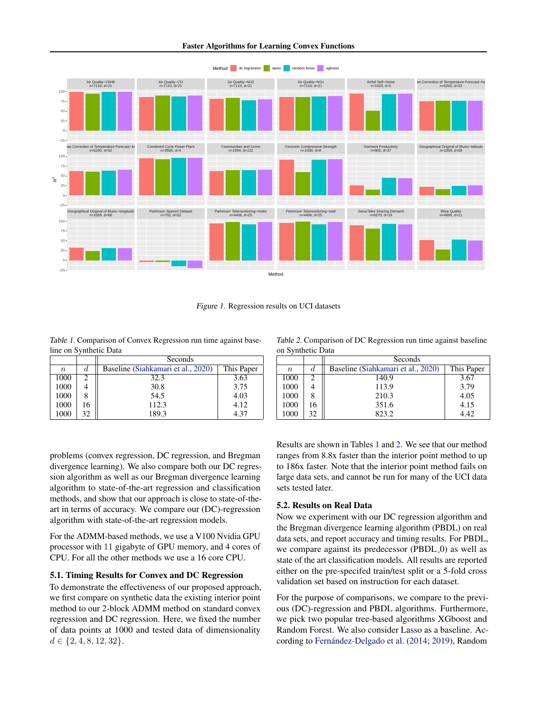



Figure 1. Regression results on UCI datasets

<span id="page-6-2"></span><span id="page-6-0"></span>Table 1. Comparison of Convex Regression run time against baseline on Synthetic Data

|        |    | Seconds                            |            |  |  |  |  |
|--------|----|------------------------------------|------------|--|--|--|--|
| $\, n$ | a. | Baseline (Siahkamari et al., 2020) | This Paper |  |  |  |  |
| 1000   |    | 32.3                               | 3.63       |  |  |  |  |
| 1000   |    | 30.8                               | 3.75       |  |  |  |  |
| 1000   |    | 54.5                               | 4.03       |  |  |  |  |
| 1000   |    | 112.3                              | 4.12       |  |  |  |  |
| 1000   | 32 | 189.3                              | 4.37       |  |  |  |  |

problems (convex regression, DC regression, and Bregman divergence learning). We also compare both our DC regression algorithm as well as our Bregman divergence learning algorithm to state-of-the-art regression and classification methods, and show that our approach is close to state-of-theart in terms of accuracy. We compare our (DC)-regression algorithm with state-of-the-art regression models.

For the ADMM-based methods, we use a V100 Nvidia GPU processor with 11 gigabyte of GPU memory, and 4 cores of CPU. For all the other methods we use a 16 core CPU.

## 5.1. Timing Results for Convex and DC Regression

To demonstrate the effectiveness of our proposed approach, we first compare on synthetic data the existing interior point method to our 2-block ADMM method on standard convex regression and DC regression. Here, we fixed the number of data points at 1000 and tested data of dimensionality  $d \in \{2, 4, 8, 12, 32\}.$ 

<span id="page-6-1"></span>Table 2. Comparison of DC Regression run time against baseline on Synthetic Data

| $\sigma$ |    |                                    |            |  |  |  |  |  |
|----------|----|------------------------------------|------------|--|--|--|--|--|
|          |    | Seconds                            |            |  |  |  |  |  |
| $\, n$   | d  | Baseline (Siahkamari et al., 2020) | This Paper |  |  |  |  |  |
| 1000     |    | 140.9                              | 3.67       |  |  |  |  |  |
| 1000     |    | 113.9                              | 3.79       |  |  |  |  |  |
| 1000     |    | 210.3                              | 4.05       |  |  |  |  |  |
| 1000     | 16 | 351.6                              | 4.15       |  |  |  |  |  |
| 1000     | 32 | 823.2                              | 4.42       |  |  |  |  |  |

Results are shown in Tables [1](#page-6-0) and [2.](#page-6-1) We see that our method ranges from 8.8x faster than the interior point method to up to 186x faster. Note that the interior point method fails on large data sets, and cannot be run for many of the UCI data sets tested later.

## 5.2. Results on Real Data

Now we experiment with our DC regression algorithm and the Bregman divergence learning algorithm (PBDL) on real data sets, and report accuracy and timing results. For PBDL, we compare against its predecessor (PBDL\_0) as well as state of the art classification models. All results are reported either on the pre-specifed train/test split or a 5-fold cross validation set based on instruction for each dataset.

For the purpose of comparisons, we compare to the previous (DC)-regression and PBDL algorithms. Furthermore, we pick two popular tree-based algorithms XGboost and Random Forest. We also consider Lasso as a baseline. Ac-cording to Fernández-Delgado et al. [\(2014;](#page-8-19) [2019\)](#page-8-20), Random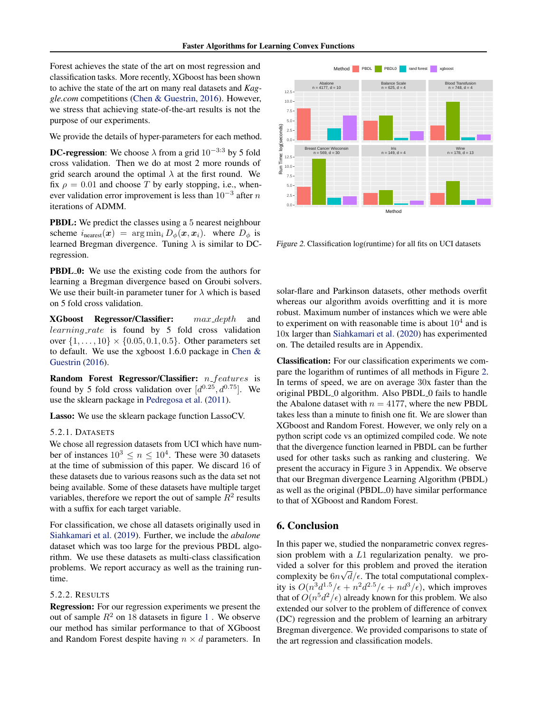Forest achieves the state of the art on most regression and classification tasks. More recently, XGboost has been shown to achive the state of the art on many real datasets and *Kaggle.com* competitions [\(Chen & Guestrin,](#page-8-21) [2016\)](#page-8-21). However, we stress that achieving state-of-the-art results is not the purpose of our experiments.

We provide the details of hyper-parameters for each method.

**DC-regression**: We choose  $\lambda$  from a grid 10<sup>-3:3</sup> by 5 fold cross validation. Then we do at most 2 more rounds of grid search around the optimal  $\lambda$  at the first round. We fix  $\rho = 0.01$  and choose T by early stopping, i.e., whenever validation error improvement is less than  $10^{-3}$  after n iterations of ADMM.

PBDL: We predict the classes using a 5 nearest neighbour scheme  $i_{\text{nearest}}(\boldsymbol{x}) = \arg \min_i D_{\phi}(\boldsymbol{x}, \boldsymbol{x}_i)$ . where  $D_{\phi}$  is learned Bregman divergence. Tuning  $\lambda$  is similar to DCregression.

**PBDL 0:** We use the existing code from the authors for learning a Bregman divergence based on Groubi solvers. We use their built-in parameter tuner for  $\lambda$  which is based on 5 fold cross validation.

XGboost Regressor/Classifier: max depth and learning rate is found by 5 fold cross validation over  $\{1, \ldots, 10\} \times \{0.05, 0.1, 0.5\}$ . Other parameters set to default. We use the xgboost 1.6.0 package in [Chen &](#page-8-21) [Guestrin](#page-8-21) [\(2016\)](#page-8-21).

Random Forest Regressor/Classifier:  $n_f$  features is found by 5 fold cross validation over  $[d^{0.25}, d^{0.75}]$ . We use the sklearn package in [Pedregosa et al.](#page-8-22) [\(2011\)](#page-8-22).

Lasso: We use the sklearn package function LassoCV.

#### 5.2.1. DATASETS

We chose all regression datasets from UCI which have number of instances  $10^3 \le n \le 10^4$ . These were 30 datasets at the time of submission of this paper. We discard 16 of these datasets due to various reasons such as the data set not being available. Some of these datasets have multiple target variables, therefore we report the out of sample  $R^2$  results with a suffix for each target variable.

For classification, we chose all datasets originally used in [Siahkamari et al.](#page-8-2) [\(2019\)](#page-8-2). Further, we include the *abalone* dataset which was too large for the previous PBDL algorithm. We use these datasets as multi-class classification problems. We report accuracy as well as the training runtime.

## 5.2.2. RESULTS

Regression: For our regression experiments we present the out of sample  $R^2$  on [1](#page-6-2)8 datasets in figure 1. We observe our method has similar performance to that of XGboost and Random Forest despite having  $n \times d$  parameters. In



<span id="page-7-0"></span>Figure 2. Classification log(runtime) for all fits on UCI datasets

solar-flare and Parkinson datasets, other methods overfit whereas our algorithm avoids overfitting and it is more robust. Maximum number of instances which we were able to experiment on with reasonable time is about  $10^4$  and is 10x larger than [Siahkamari et al.](#page-8-0) [\(2020\)](#page-8-0) has experimented on. The detailed results are in Appendix.

Classification: For our classification experiments we compare the logarithm of runtimes of all methods in Figure [2.](#page-7-0) In terms of speed, we are on average 30x faster than the original PBDL 0 algorithm. Also PBDL 0 fails to handle the Abalone dataset with  $n = 4177$ , where the new PBDL takes less than a minute to finish one fit. We are slower than XGboost and Random Forest. However, we only rely on a python script code vs an optimized compiled code. We note that the divergence function learned in PBDL can be further used for other tasks such as ranking and clustering. We present the accuracy in Figure [3](#page-18-0) in Appendix. We observe that our Bregman divergence Learning Algorithm (PBDL) as well as the original (PBDL 0) have similar performance to that of XGboost and Random Forest.

### 6. Conclusion

In this paper we, studied the nonparametric convex regression problem with a L1 regularization penalty. we provided a solver for this problem and proved the iteration complexity be  $6n\sqrt{d}/\epsilon$ . The total computational complexity is  $O(n^3d^{1.5}/\epsilon + n^2d^{2.5}/\epsilon + nd^3/\epsilon)$ , which improves that of  $O(n^5d^2/\epsilon)$  already known for this problem. We also extended our solver to the problem of difference of convex (DC) regression and the problem of learning an arbitrary Bregman divergence. We provided comparisons to state of the art regression and classification models.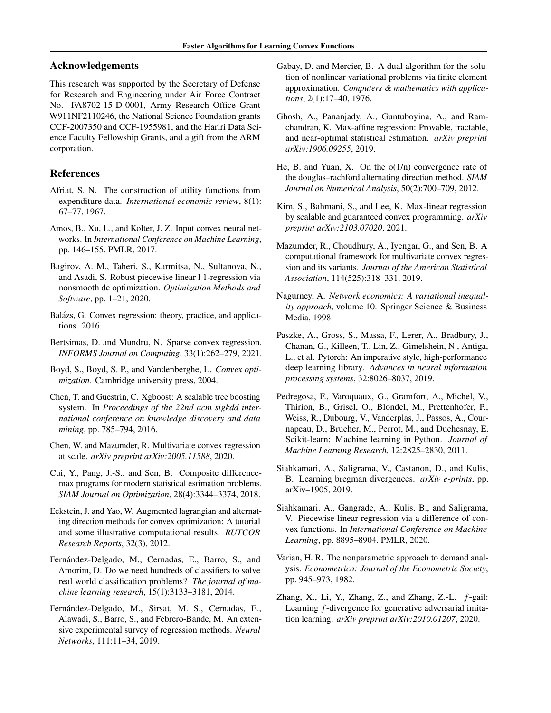## Acknowledgements

This research was supported by the Secretary of Defense for Research and Engineering under Air Force Contract No. FA8702-15-D-0001, Army Research Office Grant W911NF2110246, the National Science Foundation grants CCF-2007350 and CCF-1955981, and the Hariri Data Science Faculty Fellowship Grants, and a gift from the ARM corporation.

## References

- <span id="page-8-4"></span>Afriat, S. N. The construction of utility functions from expenditure data. *International economic review*, 8(1): 67–77, 1967.
- <span id="page-8-1"></span>Amos, B., Xu, L., and Kolter, J. Z. Input convex neural networks. In *International Conference on Machine Learning*, pp. 146–155. PMLR, 2017.
- <span id="page-8-18"></span>Bagirov, A. M., Taheri, S., Karmitsa, N., Sultanova, N., and Asadi, S. Robust piecewise linear l 1-regression via nonsmooth dc optimization. *Optimization Methods and Software*, pp. 1–21, 2020.
- <span id="page-8-7"></span>Balázs, G. Convex regression: theory, practice, and applications. 2016.
- <span id="page-8-10"></span>Bertsimas, D. and Mundru, N. Sparse convex regression. *INFORMS Journal on Computing*, 33(1):262–279, 2021.
- <span id="page-8-6"></span>Boyd, S., Boyd, S. P., and Vandenberghe, L. *Convex optimization*. Cambridge university press, 2004.
- <span id="page-8-21"></span>Chen, T. and Guestrin, C. Xgboost: A scalable tree boosting system. In *Proceedings of the 22nd acm sigkdd international conference on knowledge discovery and data mining*, pp. 785–794, 2016.
- <span id="page-8-9"></span>Chen, W. and Mazumder, R. Multivariate convex regression at scale. *arXiv preprint arXiv:2005.11588*, 2020.
- <span id="page-8-17"></span>Cui, Y., Pang, J.-S., and Sen, B. Composite differencemax programs for modern statistical estimation problems. *SIAM Journal on Optimization*, 28(4):3344–3374, 2018.
- <span id="page-8-14"></span>Eckstein, J. and Yao, W. Augmented lagrangian and alternating direction methods for convex optimization: A tutorial and some illustrative computational results. *RUTCOR Research Reports*, 32(3), 2012.
- <span id="page-8-19"></span>Fernández-Delgado, M., Cernadas, E., Barro, S., and Amorim, D. Do we need hundreds of classifiers to solve real world classification problems? *The journal of machine learning research*, 15(1):3133–3181, 2014.
- <span id="page-8-20"></span>Fernández-Delgado, M., Sirsat, M. S., Cernadas, E., Alawadi, S., Barro, S., and Febrero-Bande, M. An extensive experimental survey of regression methods. *Neural Networks*, 111:11–34, 2019.
- <span id="page-8-13"></span>Gabay, D. and Mercier, B. A dual algorithm for the solution of nonlinear variational problems via finite element approximation. *Computers & mathematics with applications*, 2(1):17–40, 1976.
- <span id="page-8-11"></span>Ghosh, A., Pananjady, A., Guntuboyina, A., and Ramchandran, K. Max-affine regression: Provable, tractable, and near-optimal statistical estimation. *arXiv preprint arXiv:1906.09255*, 2019.
- <span id="page-8-15"></span>He, B. and Yuan, X. On the  $o(1/n)$  convergence rate of the douglas–rachford alternating direction method. *SIAM Journal on Numerical Analysis*, 50(2):700–709, 2012.
- <span id="page-8-12"></span>Kim, S., Bahmani, S., and Lee, K. Max-linear regression by scalable and guaranteed convex programming. *arXiv preprint arXiv:2103.07020*, 2021.
- <span id="page-8-8"></span>Mazumder, R., Choudhury, A., Iyengar, G., and Sen, B. A computational framework for multivariate convex regression and its variants. *Journal of the American Statistical Association*, 114(525):318–331, 2019.
- <span id="page-8-23"></span>Nagurney, A. *Network economics: A variational inequality approach*, volume 10. Springer Science & Business Media, 1998.
- <span id="page-8-16"></span>Paszke, A., Gross, S., Massa, F., Lerer, A., Bradbury, J., Chanan, G., Killeen, T., Lin, Z., Gimelshein, N., Antiga, L., et al. Pytorch: An imperative style, high-performance deep learning library. *Advances in neural information processing systems*, 32:8026–8037, 2019.
- <span id="page-8-22"></span>Pedregosa, F., Varoquaux, G., Gramfort, A., Michel, V., Thirion, B., Grisel, O., Blondel, M., Prettenhofer, P., Weiss, R., Dubourg, V., Vanderplas, J., Passos, A., Cournapeau, D., Brucher, M., Perrot, M., and Duchesnay, E. Scikit-learn: Machine learning in Python. *Journal of Machine Learning Research*, 12:2825–2830, 2011.
- <span id="page-8-2"></span>Siahkamari, A., Saligrama, V., Castanon, D., and Kulis, B. Learning bregman divergences. *arXiv e-prints*, pp. arXiv–1905, 2019.
- <span id="page-8-0"></span>Siahkamari, A., Gangrade, A., Kulis, B., and Saligrama, V. Piecewise linear regression via a difference of convex functions. In *International Conference on Machine Learning*, pp. 8895–8904. PMLR, 2020.
- <span id="page-8-5"></span>Varian, H. R. The nonparametric approach to demand analysis. *Econometrica: Journal of the Econometric Society*, pp. 945–973, 1982.
- <span id="page-8-3"></span>Zhang, X., Li, Y., Zhang, Z., and Zhang, Z.-L.  $f$ -gail: Learning f-divergence for generative adversarial imitation learning. *arXiv preprint arXiv:2010.01207*, 2020.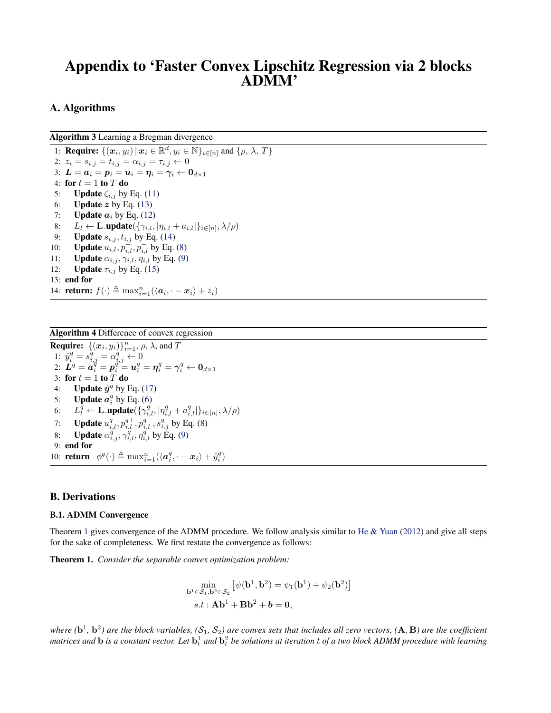# Appendix to 'Faster Convex Lipschitz Regression via 2 blocks ADMM'

## A. Algorithms

Algorithm 3 Learning a Bregman divergence

<span id="page-9-1"></span>1: **Require:**  $\{(x_i, y_i) | x_i \in \mathbb{R}^d, y_i \in \mathbb{N}\}_{i \in [n]}$  and  $\{\rho, \lambda, T\}$ 2:  $z_i = s_{i,j} = t_{i,j} = \alpha_{i,j} = \tau_{i,j} \leftarrow 0$ 3:  $\boldsymbol{L} = \boldsymbol{a}_i = \boldsymbol{p}_i = \boldsymbol{u}_i = \boldsymbol{\eta}_i = \boldsymbol{\gamma}_i \leftarrow \boldsymbol{0}_{d \times 1}$ 4: for  $t = 1$  to  $T$  do 5: **Update**  $\zeta_{i,j}$  by Eq. [\(11\)](#page-5-2) 6: **Update** z by Eq.  $(13)$ 7: **Update**  $a_i$  by Eq. [\(12\)](#page-5-0) 8:  $L_l \leftarrow \textbf{L\_update}(\{\gamma_{i,l}, |\eta_{i,l} + a_{i,l}|\}_{i \in [n]}, \lambda/\rho)$ 9: **Update**  $s_{i,j}$ ,  $t_{i,j}$  by Eq. [\(14\)](#page-5-4) 10: **Update**  $u_{i,l}$ ,  $p_{i,l}^+$ ,  $p_{i,l}^-$  by Eq. [\(8\)](#page-2-3) 11: **Update**  $\alpha_{i,j}, \gamma_{i,l}, \eta_{i,l}$  by Eq. [\(9\)](#page-3-3) 12: **Update**  $\tau_{i,j}$  by Eq. [\(15\)](#page-5-5) 13: end for

14: **return:**  $f(\cdot) \triangleq \max_{i=1}^n (\langle a_i, \cdot - x_i \rangle + z_i)$ 

<span id="page-9-2"></span>Algorithm 4 Difference of convex regression **Require:**  $\{(x_i, y_i)\}_{i=1}^n$ ,  $\rho$ ,  $\lambda$ , and T 1:  $\hat{y}_i^q = s_{i,j}^q = \alpha_{i,j}^q \leftarrow 0$  $2\colon\, \overset{\centerdot}{\bm{L}}\!\!\!\!{}^q = \bm{a}_i^{q} = \bm{p}_i^{q^{i,j}} = \bm{u}_i^{q} = \bm{\eta}_i^{q} = \bm{\gamma}_i^{q} \leftarrow \bm{0}_{d\times 1}$ 3: for  $t = 1$  to  $T$  do 4: **Update**  $\hat{\mathbf{y}}^q$  by Eq. [\(17\)](#page-5-6) 5: **Update**  $a_i^q$  by Eq. [\(6\)](#page-2-0) 6:  $L_l^{\bar{q}} \leftarrow \textbf{L\_update}(\{\gamma_{i,l}^q, |\eta_{i,l}^q + a_{i,l}^q|\}_{i \in [n]}, \lambda/\rho)$ 7: **Update**  $u_{i,l}^q, p_{i,l}^{q+}, p_{i,l}^{q-}, s_{i,j}^q$  by Eq. [\(8\)](#page-2-3) 8: **Update**  $\alpha_{i,j}^{\vec{q}}, \gamma_{i,l}^{\vec{q}}, \eta_{i,l}^{\vec{q}}$  by Eq. [\(9\)](#page-3-3) 9: end for 10: **return**  $\phi^q(\cdot) \triangleq \max_{i=1}^n (\langle \boldsymbol{a}_i^q, \cdot - \boldsymbol{x}_i \rangle + \hat{y}_i^q)$ 

## <span id="page-9-0"></span>B. Derivations

#### B.1. ADMM Convergence

Theorem [1](#page-3-4) gives convergence of the ADMM procedure. We follow analysis similar to He  $\&$  Yuan [\(2012\)](#page-8-15) and give all steps for the sake of completeness. We first restate the convergence as follows:

Theorem 1. *Consider the separable convex optimization problem:*

$$
\min_{\mathbf{b}^1 \in \mathcal{S}_1, \mathbf{b}^2 \in \mathcal{S}_2} \left[ \psi(\mathbf{b}^1, \mathbf{b}^2) = \psi_1(\mathbf{b}^1) + \psi_2(\mathbf{b}^2) \right]
$$
  
s.t :  $\mathbf{Ab}^1 + \mathbf{Bb}^2 + \mathbf{b} = \mathbf{0}$ ,

where  $(b^1, b^2)$  are the block variables,  $(S_1, S_2)$  are convex sets that includes all zero vectors,  $(A, B)$  are the coefficient matrices and  $b$  is a constant vector. Let  $b^1_t$  and  $b^2_t$  be solutions at iteration  $t$  of a two block ADMM procedure with learning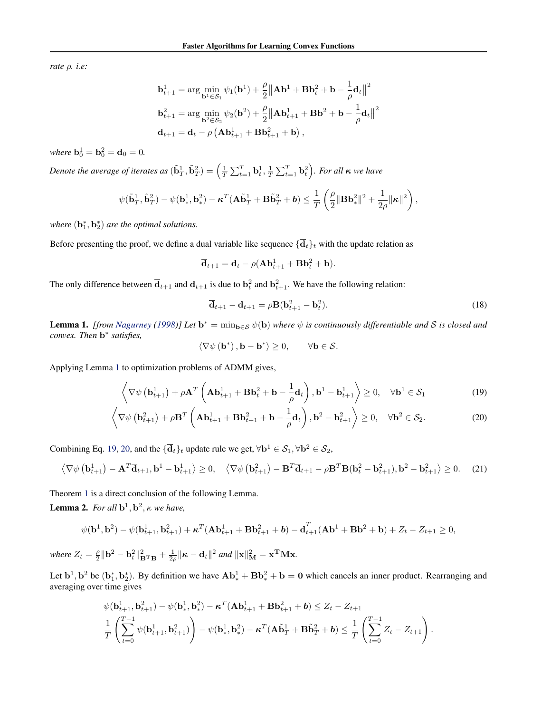*rate* ρ*. i.e:*

$$
\mathbf{b}_{t+1}^{1} = \arg \min_{\mathbf{b}^{1} \in \mathcal{S}_{1}} \psi_{1}(\mathbf{b}^{1}) + \frac{\rho}{2} ||A\mathbf{b}^{1} + B\mathbf{b}_{t}^{2} + \mathbf{b} - \frac{1}{\rho} \mathbf{d}_{t} ||^{2}
$$
  

$$
\mathbf{b}_{t+1}^{2} = \arg \min_{\mathbf{b}^{2} \in \mathcal{S}_{2}} \psi_{2}(\mathbf{b}^{2}) + \frac{\rho}{2} ||A\mathbf{b}_{t+1}^{1} + B\mathbf{b}^{2} + \mathbf{b} - \frac{1}{\rho} \mathbf{d}_{t} ||^{2}
$$
  

$$
\mathbf{d}_{t+1} = \mathbf{d}_{t} - \rho (A\mathbf{b}_{t+1}^{1} + B\mathbf{b}_{t+1}^{2} + \mathbf{b}),
$$

*where*  $\mathbf{b}_0^1 = \mathbf{b}_0^2 = \mathbf{d}_0 = 0$ .

Denote the average of iterates as  $(\tilde{\bf b}_{T}^1,\tilde{\bf b}_{T}^2)=\left(\frac{1}{T}\sum_{t=1}^T{\bf b}_t^1,\frac{1}{T}\sum_{t=1}^T{\bf b}_t^2\right)$ . For all  $\kappa$  we have

$$
\psi(\tilde{\mathbf{b}}_T^1, \tilde{\mathbf{b}}_T^2) - \psi(\mathbf{b}_*^1, \mathbf{b}_*^2) - \boldsymbol{\kappa}^T(\mathbf{A}\tilde{\mathbf{b}}_T^1 + \mathbf{B}\tilde{\mathbf{b}}_T^2 + \boldsymbol{b}) \leq \frac{1}{T} \left(\frac{\rho}{2} \|\mathbf{B} \mathbf{b}_*^2\|^2 + \frac{1}{2\rho} \|\boldsymbol{\kappa}\|^2\right),
$$

where  $(\mathbf{b}_1^*, \mathbf{b}_2^*)$  are the optimal solutions.

Before presenting the proof, we define a dual variable like sequence  $\{\overline{d}_t\}_t$  with the update relation as

$$
\overline{\mathbf{d}}_{t+1} = \mathbf{d}_t - \rho(\mathbf{A}\mathbf{b}_{t+1}^1 + \mathbf{B}\mathbf{b}_t^2 + \mathbf{b}).
$$

The only difference between  $\bar{d}_{t+1}$  and  $d_{t+1}$  is due to  $b_t^2$  and  $b_{t+1}^2$ . We have the following relation:

<span id="page-10-5"></span>
$$
\overline{\mathbf{d}}_{t+1} - \mathbf{d}_{t+1} = \rho \mathbf{B} (\mathbf{b}_{t+1}^2 - \mathbf{b}_t^2). \tag{18}
$$

<span id="page-10-0"></span>**Lemma 1.** *[from [Nagurney](#page-8-23)* [\(1998\)](#page-8-23)] Let  $\mathbf{b}^* = \min_{\mathbf{b} \in \mathcal{S}} \psi(\mathbf{b})$  where  $\psi$  is continuously differentiable and S is closed and *convex. Then* b ∗ *satisfies,*

<span id="page-10-4"></span><span id="page-10-2"></span><span id="page-10-1"></span>
$$
\langle \nabla \psi (\mathbf{b}^*) , \mathbf{b} - \mathbf{b}^* \rangle \ge 0, \quad \forall \mathbf{b} \in \mathcal{S}.
$$

Applying Lemma [1](#page-10-0) to optimization problems of ADMM gives,

$$
\left\langle \nabla \psi \left( \mathbf{b}_{t+1}^1 \right) + \rho \mathbf{A}^T \left( \mathbf{A} \mathbf{b}_{t+1}^1 + \mathbf{B} \mathbf{b}_t^2 + \mathbf{b} - \frac{1}{\rho} \mathbf{d}_t \right), \mathbf{b}^1 - \mathbf{b}_{t+1}^1 \right\rangle \ge 0, \quad \forall \mathbf{b}^1 \in \mathcal{S}_1
$$
\n(19)

$$
\left\langle \nabla \psi \left( \mathbf{b}_{t+1}^2 \right) + \rho \mathbf{B}^T \left( \mathbf{A} \mathbf{b}_{t+1}^1 + \mathbf{B} \mathbf{b}_{t+1}^2 + \mathbf{b} - \frac{1}{\rho} \mathbf{d}_t \right), \mathbf{b}^2 - \mathbf{b}_{t+1}^2 \right\rangle \ge 0, \quad \forall \mathbf{b}^2 \in \mathcal{S}_2.
$$
 (20)

Combining Eq. [19,](#page-10-1) [20,](#page-10-2) and the  ${\{\overline{\mathbf{d}}_t\}_t}$  update rule we get,  $\forall \mathbf{b}^1 \in S_1, \forall \mathbf{b}^2 \in S_2$ ,

$$
\left\langle \nabla \psi \left( \mathbf{b}_{t+1}^1 \right) - \mathbf{A}^T \overline{\mathbf{d}}_{t+1}, \mathbf{b}^1 - \mathbf{b}_{t+1}^1 \right\rangle \ge 0, \quad \left\langle \nabla \psi \left( \mathbf{b}_{t+1}^2 \right) - \mathbf{B}^T \overline{\mathbf{d}}_{t+1} - \rho \mathbf{B}^T \mathbf{B} (\mathbf{b}_t^2 - \mathbf{b}_{t+1}^2), \mathbf{b}^2 - \mathbf{b}_{t+1}^2 \right\rangle \ge 0. \tag{21}
$$

Theorem [1](#page-3-4) is a direct conclusion of the following Lemma.

<span id="page-10-3"></span>**Lemma 2.** For all  $\mathbf{b}^1, \mathbf{b}^2, \kappa$  we have,

$$
\psi(\mathbf{b}^1, \mathbf{b}^2) - \psi(\mathbf{b}_{t+1}^1, \mathbf{b}_{t+1}^2) + \kappa^T (\mathbf{A} \mathbf{b}_{t+1}^1 + \mathbf{B} \mathbf{b}_{t+1}^2 + \mathbf{b}) - \overline{\mathbf{d}}_{t+1}^T (\mathbf{A} \mathbf{b}^1 + \mathbf{B} \mathbf{b}^2 + \mathbf{b}) + Z_t - Z_{t+1} \ge 0,
$$

 $where Z_t = \frac{\rho}{2} \|\mathbf{b}^2 - \mathbf{b}_t^2\|_{\mathbf{B}^{\mathbf{T}}\mathbf{B}}^2 + \frac{1}{2\rho} \|\boldsymbol{\kappa} - \mathbf{d}_t\|^2$  and  $\|\mathbf{x}\|_{\mathbf{M}}^2 = \mathbf{x}^{\mathbf{T}}\mathbf{M}\mathbf{x}$ .

Let  $\mathbf{b}^1$ ,  $\mathbf{b}^2$  be  $(\mathbf{b}_1^*, \mathbf{b}_2^*)$ . By definition we have  $\mathbf{Ab}_*^1 + \mathbf{Bb}_*^2 + \mathbf{b} = 0$  which cancels an inner product. Rearranging and averaging over time gives

$$
\psi(\mathbf{b}_{t+1}^1, \mathbf{b}_{t+1}^2) - \psi(\mathbf{b}_*^1, \mathbf{b}_*^2) - \kappa^T (\mathbf{A} \mathbf{b}_{t+1}^1 + \mathbf{B} \mathbf{b}_{t+1}^2 + \mathbf{b}) \le Z_t - Z_{t+1}
$$
\n
$$
\frac{1}{T} \left( \sum_{t=0}^{T-1} \psi(\mathbf{b}_{t+1}^1, \mathbf{b}_{t+1}^2) \right) - \psi(\mathbf{b}_*^1, \mathbf{b}_*^2) - \kappa^T (\mathbf{A} \tilde{\mathbf{b}}_T^1 + \mathbf{B} \tilde{\mathbf{b}}_T^2 + \mathbf{b}) \le \frac{1}{T} \left( \sum_{t=0}^{T-1} Z_t - Z_{t+1} \right).
$$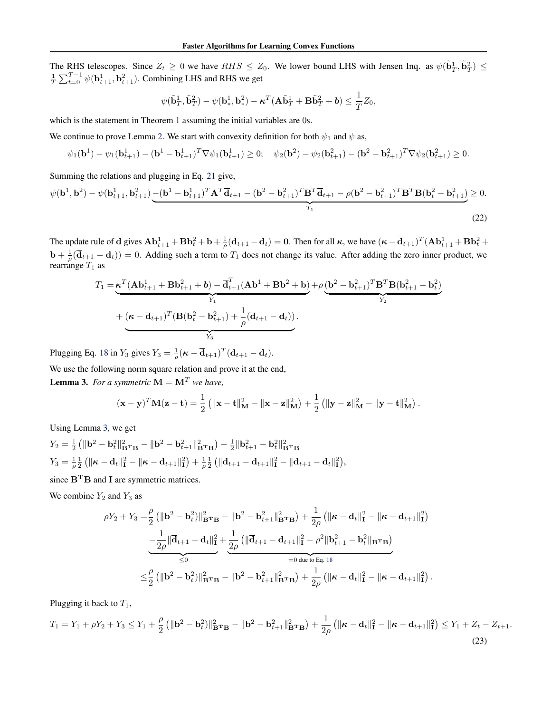The RHS telescopes. Since  $Z_t \ge 0$  we have  $RHS \le Z_0$ . We lower bound LHS with Jensen Inq. as  $\psi(\tilde{\mathbf{b}}_T^1, \tilde{\mathbf{b}}_T^2) \le$  $\frac{1}{T} \sum_{t=0}^{T-1} \psi(\mathbf{b}_{t+1}^1, \mathbf{b}_{t+1}^2)$ . Combining LHS and RHS we get

<span id="page-11-1"></span>
$$
\psi(\tilde{\mathbf{b}}_T^1, \tilde{\mathbf{b}}_T^2) - \psi(\mathbf{b}_*^1, \mathbf{b}_*^2) - \boldsymbol{\kappa}^T (\mathbf{A} \tilde{\mathbf{b}}_T^1 + \mathbf{B} \tilde{\mathbf{b}}_T^2 + \boldsymbol{b}) \leq \frac{1}{T} Z_0,
$$

which is the statement in Theorem [1](#page-3-4) assuming the initial variables are 0s.

We continue to prove Lemma [2.](#page-10-3) We start with convexity definition for both  $\psi_1$  and  $\psi$  as,

$$
\psi_1(\mathbf{b}^1) - \psi_1(\mathbf{b}_{t+1}^1) - (\mathbf{b}^1 - \mathbf{b}_{t+1}^1)^T \nabla \psi_1(\mathbf{b}_{t+1}^1) \ge 0; \quad \psi_2(\mathbf{b}^2) - \psi_2(\mathbf{b}_{t+1}^2) - (\mathbf{b}^2 - \mathbf{b}_{t+1}^2)^T \nabla \psi_2(\mathbf{b}_{t+1}^2) \ge 0.
$$

Summing the relations and plugging in Eq. [21](#page-10-4) give,

$$
\psi(\mathbf{b}^1, \mathbf{b}^2) - \psi(\mathbf{b}_{t+1}^1, \mathbf{b}_{t+1}^2) - (\mathbf{b}^1 - \mathbf{b}_{t+1}^1)^T \mathbf{A}^T \overline{\mathbf{d}}_{t+1} - (\mathbf{b}^2 - \mathbf{b}_{t+1}^2)^T \mathbf{B}^T \overline{\mathbf{d}}_{t+1} - \rho (\mathbf{b}^2 - \mathbf{b}_{t+1}^2)^T \mathbf{B}^T \mathbf{B} (\mathbf{b}_t^2 - \mathbf{b}_{t+1}^2) \ge 0.
$$
\n(22)

The update rule of  $\overline{\mathbf{d}}$  gives  $\mathbf{Ab}_{t+1}^1 + \mathbf{B}\mathbf{b}_t^2 + \mathbf{b} + \frac{1}{\rho}(\overline{\mathbf{d}}_{t+1} - \mathbf{d}_t) = \mathbf{0}$ . Then for all  $\kappa$ , we have  $(\kappa - \overline{\mathbf{d}}_{t+1})^T (\mathbf{Ab}_{t+1}^1 + \mathbf{B}\mathbf{b}_t^2 +$  $\mathbf{b} + \frac{1}{\rho}(\overline{\mathbf{d}}_{t+1} - \mathbf{d}_t)$  = 0. Adding such a term to  $T_1$  does not change its value. After adding the zero inner product, we rearrange  $T_1$  as

$$
T_1 = \underbrace{\kappa^T (\mathbf{A} \mathbf{b}_{t+1}^1 + \mathbf{B} \mathbf{b}_{t+1}^2 + \mathbf{b}) - \overline{\mathbf{d}}_{t+1}^T (\mathbf{A} \mathbf{b}^1 + \mathbf{B} \mathbf{b}^2 + \mathbf{b})}_{Y_1} + \rho \underbrace{(\mathbf{b}^2 - \mathbf{b}_{t+1}^2)^T \mathbf{B}^T \mathbf{B} (\mathbf{b}_{t+1}^2 - \mathbf{b}_t^2)}_{Y_2} + (\kappa - \overline{\mathbf{d}}_{t+1})^T (\mathbf{B} (\mathbf{b}_t^2 - \mathbf{b}_{t+1}^2) + \frac{1}{\rho} (\overline{\mathbf{d}}_{t+1} - \mathbf{d}_t)).
$$

Plugging Eq. [18](#page-10-5) in  $Y_3$  gives  $Y_3 = \frac{1}{\rho} (\kappa - \overline{\mathbf{d}}_{t+1})^T (\mathbf{d}_{t+1} - \mathbf{d}_t)$ .

We use the following norm square relation and prove it at the end,

<span id="page-11-0"></span>**Lemma 3.** For a symmetric  $M = M^T$  we have,

$$
(\mathbf{x}-\mathbf{y})^T \mathbf{M}(\mathbf{z}-\mathbf{t}) = \frac{1}{2} \left( \|\mathbf{x}-\mathbf{t}\|_{\mathbf{M}}^2 - \|\mathbf{x}-\mathbf{z}\|_{\mathbf{M}}^2 \right) + \frac{1}{2} \left( \|\mathbf{y}-\mathbf{z}\|_{\mathbf{M}}^2 - \|\mathbf{y}-\mathbf{t}\|_{\mathbf{M}}^2 \right).
$$

Using Lemma [3,](#page-11-0) we get

$$
Y_2 = \frac{1}{2} \left( \|\mathbf{b}^2 - \mathbf{b}_t^2\|_{\mathbf{B}^{\mathbf{T}} \mathbf{B}}^2 - \|\mathbf{b}^2 - \mathbf{b}_{t+1}^2\|_{\mathbf{B}^{\mathbf{T}} \mathbf{B}}^2 \right) - \frac{1}{2} \|\mathbf{b}_{t+1}^2 - \mathbf{b}_t^2\|_{\mathbf{B}^{\mathbf{T}} \mathbf{B}}^2
$$
  

$$
Y_3 = \frac{1}{\rho} \frac{1}{2} \left( \|\boldsymbol{\kappa} - \mathbf{d}_t\|_{\mathbf{I}}^2 - \|\boldsymbol{\kappa} - \mathbf{d}_{t+1}\|_{\mathbf{I}}^2 \right) + \frac{1}{\rho} \frac{1}{2} \left( \|\overline{\mathbf{d}}_{t+1} - \mathbf{d}_{t+1}\|_{\mathbf{I}}^2 - \|\overline{\mathbf{d}}_{t+1} - \mathbf{d}_{t}\|_{\mathbf{I}}^2 \right),
$$

since  $B<sup>T</sup>B$  and I are symmetric matrices.

We combine  $Y_2$  and  $Y_3$  as

<span id="page-11-2"></span>
$$
\rho Y_2 + Y_3 = \frac{\rho}{2} \left( \|\mathbf{b}^2 - \mathbf{b}_t^2\|_{\mathbf{B}^T \mathbf{B}}^2 - \|\mathbf{b}^2 - \mathbf{b}_{t+1}^2\|_{\mathbf{B}^T \mathbf{B}}^2 \right) + \frac{1}{2\rho} \left( \|\boldsymbol{\kappa} - \mathbf{d}_t\|_{\mathbf{I}}^2 - \|\boldsymbol{\kappa} - \mathbf{d}_{t+1}\|_{\mathbf{I}}^2 \right) \n- \frac{1}{2\rho} \|\overline{\mathbf{d}}_{t+1} - \mathbf{d}_t\|_{\mathbf{I}}^2 + \frac{1}{2\rho} \left( \|\overline{\mathbf{d}}_{t+1} - \mathbf{d}_{t+1}\|_{\mathbf{I}}^2 - \rho^2 \|\mathbf{b}_{t+1}^2 - \mathbf{b}_t^2\|_{\mathbf{B}^T \mathbf{B}} \right) \n= 0 \text{ due to Eq. 18}
$$
\n
$$
\leq \frac{\rho}{2} \left( \|\mathbf{b}^2 - \mathbf{b}_t^2\|_{\mathbf{B}^T \mathbf{B}}^2 - \|\mathbf{b}^2 - \mathbf{b}_{t+1}^2\|_{\mathbf{B}^T \mathbf{B}}^2 \right) + \frac{1}{2\rho} \left( \|\boldsymbol{\kappa} - \mathbf{d}_t\|_{\mathbf{I}}^2 - \|\boldsymbol{\kappa} - \mathbf{d}_{t+1}\|_{\mathbf{I}}^2 \right).
$$

Plugging it back to  $T_1$ ,

$$
T_1 = Y_1 + \rho Y_2 + Y_3 \le Y_1 + \frac{\rho}{2} \left( \| \mathbf{b}^2 - \mathbf{b}_t^2 \right) \|_{\mathbf{B}^T \mathbf{B}}^2 - \| \mathbf{b}^2 - \mathbf{b}_{t+1}^2 \|_{\mathbf{B}^T \mathbf{B}}^2 \right) + \frac{1}{2\rho} \left( \| \boldsymbol{\kappa} - \mathbf{d}_t \|_{\mathbf{I}}^2 - \| \boldsymbol{\kappa} - \mathbf{d}_{t+1} \|_{\mathbf{I}}^2 \right) \le Y_1 + Z_t - Z_{t+1}.
$$
\n(23)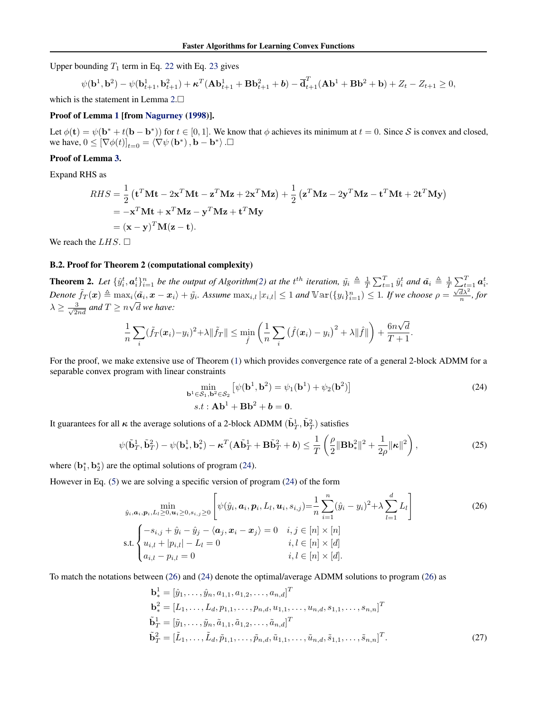Upper bounding  $T_1$  term in Eq. [22](#page-11-1) with Eq. [23](#page-11-2) gives

$$
\psi(\mathbf{b}^1, \mathbf{b}^2) - \psi(\mathbf{b}_{t+1}^1, \mathbf{b}_{t+1}^2) + \kappa^T (\mathbf{A} \mathbf{b}_{t+1}^1 + \mathbf{B} \mathbf{b}_{t+1}^2 + \mathbf{b}) - \overline{\mathbf{d}}_{t+1}^T (\mathbf{A} \mathbf{b}^1 + \mathbf{B} \mathbf{b}^2 + \mathbf{b}) + Z_t - Z_{t+1} \ge 0,
$$

which is the statement in Lemma [2.](#page-10-3)

#### Proof of Lemma [1](#page-10-0) [from [Nagurney](#page-8-23) [\(1998\)](#page-8-23)].

Let  $\phi(\mathbf{t}) = \psi(\mathbf{b}^* + t(\mathbf{b} - \mathbf{b}^*))$  for  $t \in [0, 1]$ . We know that  $\phi$  achieves its minimum at  $t = 0$ . Since S is convex and closed, we have,  $0 \leq [\nabla \phi(t)]_{t=0} = \langle \nabla \psi (\mathbf{b}^*) , \mathbf{b} - \mathbf{b}^* \rangle$ .

### Proof of Lemma [3.](#page-11-0)

Expand RHS as

$$
RHS = \frac{1}{2} \left( \mathbf{t}^T \mathbf{M} \mathbf{t} - 2\mathbf{x}^T \mathbf{M} \mathbf{t} - \mathbf{z}^T \mathbf{M} \mathbf{z} + 2\mathbf{x}^T \mathbf{M} \mathbf{z} \right) + \frac{1}{2} \left( \mathbf{z}^T \mathbf{M} \mathbf{z} - 2\mathbf{y}^T \mathbf{M} \mathbf{z} - \mathbf{t}^T \mathbf{M} \mathbf{t} + 2\mathbf{t}^T \mathbf{M} \mathbf{y} \right)
$$
  
= -\mathbf{x}^T \mathbf{M} \mathbf{t} + \mathbf{x}^T \mathbf{M} \mathbf{z} - \mathbf{y}^T \mathbf{M} \mathbf{z} + \mathbf{t}^T \mathbf{M} \mathbf{y}  
= (\mathbf{x} - \mathbf{y})^T \mathbf{M} (\mathbf{z} - \mathbf{t}).

We reach the  $LHS$ .  $\square$ 

#### <span id="page-12-0"></span>B.2. Proof for Theorem 2 (computational complexity)

**Theorem 2.** Let  $\{\hat{y}_i^t, \mathbf{a}_i^t\}_{i=1}^n$  be the output of Algorithm[\(2\)](#page-3-1) at the  $t^{th}$  iteration,  $\tilde{y}_i \triangleq \frac{1}{T} \sum_{t=1}^T \hat{y}_i^t$  and  $\tilde{\mathbf{a}}_i \triangleq \frac{1}{T} \sum_{t=1}^T \mathbf{a}_i^t$ .  $Denote \ \tilde{f}_T(\boldsymbol{x}) \triangleq \max_i \langle \tilde{a}_i, \boldsymbol{x} - \boldsymbol{x}_i \rangle + \tilde{y}_i$ . Assume  $\max_{i,l} |x_{i,l}| \leq 1$  and  $\operatorname{Var}(\{y_i\}_{i=1}^n) \leq 1$ . If we choose  $\rho = \frac{\sqrt{d\lambda^2}}{n}$ , for  $\lambda \geq \frac{3}{\sqrt{2nd}}$  and  $T \geq n\sqrt{d}$  we have:

$$
\frac{1}{n}\sum_{i}(\tilde{f}_T(\boldsymbol{x}_i)-y_i)^2+\lambda\|\tilde{f}_T\|\leq \min_{\hat{f}}\left(\frac{1}{n}\sum_{i}\left(\hat{f}(\boldsymbol{x}_i)-y_i\right)^2+\lambda\|\hat{f}\|\right)+\frac{6n\sqrt{d}}{T+1}.
$$

For the proof, we make extensive use of Theorem [\(1\)](#page-3-4) which provides convergence rate of a general 2-block ADMM for a separable convex program with linear constraints

<span id="page-12-3"></span><span id="page-12-2"></span><span id="page-12-1"></span>
$$
\min_{\mathbf{b}^1 \in \mathcal{S}_1, \mathbf{b}^2 \in \mathcal{S}_2} \left[ \psi(\mathbf{b}^1, \mathbf{b}^2) = \psi_1(\mathbf{b}^1) + \psi_2(\mathbf{b}^2) \right]
$$
\n
$$
s.t: \mathbf{Ab}^1 + \mathbf{Bb}^2 + \mathbf{b} = \mathbf{0}.
$$
\n(24)

It guarantees for all  $\kappa$  the average solutions of a 2-block ADMM  $(\tilde{\bf b}_{T}^1, \tilde{\bf b}_{T}^2)$  satisfies

$$
\psi(\tilde{\mathbf{b}}_T^1, \tilde{\mathbf{b}}_T^2) - \psi(\mathbf{b}_*^1, \mathbf{b}_*^2) - \boldsymbol{\kappa}^T(\mathbf{A}\tilde{\mathbf{b}}_T^1 + \mathbf{B}\tilde{\mathbf{b}}_T^2 + \boldsymbol{b}) \le \frac{1}{T} \left( \frac{\rho}{2} \|\mathbf{B}\mathbf{b}_*^2\|^2 + \frac{1}{2\rho} \|\boldsymbol{\kappa}\|^2 \right),\tag{25}
$$

where  $(b_1^*, b_2^*)$  are the optimal solutions of program [\(24\)](#page-12-1).

However in Eq. [\(5\)](#page-2-1) we are solving a specific version of program [\(24\)](#page-12-1) of the form

$$
\min_{\hat{y}_i, \mathbf{a}_i, \mathbf{p}_i, L_l \ge 0, \mathbf{u}_i \ge 0, \mathbf{s}_{i,j} \ge 0} \left[ \psi(\hat{y}_i, \mathbf{a}_i, \mathbf{p}_i, L_l, \mathbf{u}_i, s_{i,j}) = \frac{1}{n} \sum_{i=1}^n (\hat{y}_i - y_i)^2 + \lambda \sum_{l=1}^d L_l \right]
$$
\n
$$
\text{s.t.} \begin{cases}\n-s_{i,j} + \hat{y}_i - \hat{y}_j - \langle \mathbf{a}_j, \mathbf{x}_i - \mathbf{x}_j \rangle = 0 & i, j \in [n] \times [n] \\
u_{i,l} + |p_{i,l}| - L_l = 0 & i, l \in [n] \times [d] \\
a_{i,l} - p_{i,l} = 0 & i, l \in [n] \times [d].\n\end{cases}
$$
\n(26)

To match the notations between [\(26\)](#page-12-2) and [\(24\)](#page-12-1) denote the optimal/average ADMM solutions to program [\(26\)](#page-12-2) as

$$
\mathbf{b}_{*}^{1} = [\hat{y}_{1}, \dots, \hat{y}_{n}, a_{1,1}, a_{1,2}, \dots, a_{n,d}]^{T}
$$
  
\n
$$
\mathbf{b}_{*}^{2} = [L_{1}, \dots, L_{d}, p_{1,1}, \dots, p_{n,d}, u_{1,1}, \dots, u_{n,d}, s_{1,1}, \dots, s_{n,n}]^{T}
$$
  
\n
$$
\tilde{\mathbf{b}}_{T}^{1} = [\tilde{y}_{1}, \dots, \tilde{y}_{n}, \tilde{a}_{1,1}, \tilde{a}_{1,2}, \dots, \tilde{a}_{n,d}]^{T}
$$
  
\n
$$
\tilde{\mathbf{b}}_{T}^{2} = [\tilde{L}_{1}, \dots, \tilde{L}_{d}, \tilde{p}_{1,1}, \dots, \tilde{p}_{n,d}, \tilde{u}_{1,1}, \dots, \tilde{u}_{n,d}, \tilde{s}_{1,1}, \dots, \tilde{s}_{n,n}]^{T}.
$$
\n(27)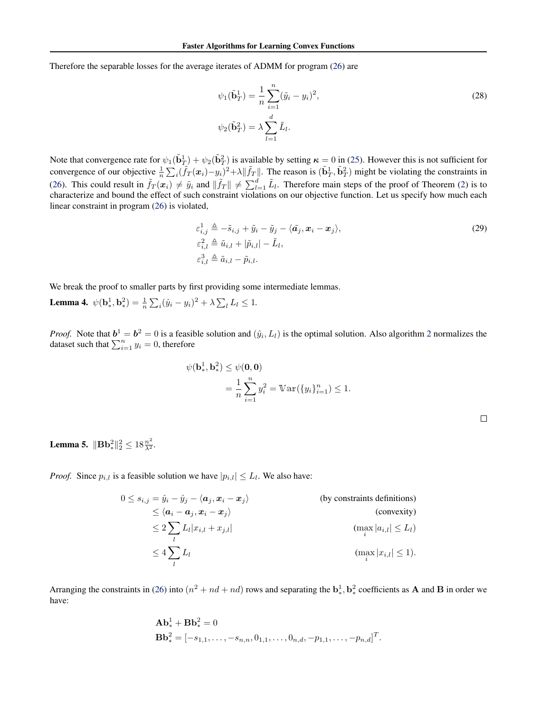Therefore the separable losses for the average iterates of ADMM for program [\(26\)](#page-12-2) are

$$
\psi_1(\tilde{\mathbf{b}}_T^1) = \frac{1}{n} \sum_{i=1}^n (\tilde{y}_i - y_i)^2,
$$
  

$$
\psi_2(\tilde{\mathbf{b}}_T^2) = \lambda \sum_{l=1}^d \tilde{L}_l.
$$
 (28)

Note that convergence rate for  $\psi_1(\tilde{\mathbf{b}}_T^1)+\psi_2(\tilde{\mathbf{b}}_T^2)$  is available by setting  $\kappa = 0$  in [\(25\)](#page-12-3). However this is not sufficient for convergence of our objective  $\frac{1}{n} \sum_i (\tilde{f}_T(\boldsymbol{x}_i) - y_i)^2 + \lambda ||\tilde{f}_T||$ . The reason is  $(\tilde{\mathbf{b}}_T^1, \tilde{\mathbf{b}}_T^2)$  might be violating the constraints in [\(26\)](#page-12-2). This could result in  $\tilde{f}_T(x_i) \neq \tilde{y}_i$  and  $\|\tilde{f}_T\| \neq \sum_{l=1}^d \tilde{L}_l$ . Therefore main steps of the proof of Theorem [\(2\)](#page-3-5) is to characterize and bound the effect of such constraint violations on our objective function. Let us specify how much each linear constraint in program [\(26\)](#page-12-2) is violated,

$$
\varepsilon_{i,j}^1 \triangleq -\tilde{s}_{i,j} + \tilde{y}_i - \tilde{y}_j - \langle \tilde{a}_j, x_i - x_j \rangle, \n\varepsilon_{i,l}^2 \triangleq \tilde{u}_{i,l} + |\tilde{p}_{i,l}| - \tilde{L}_l, \n\varepsilon_{i,l}^3 \triangleq \tilde{a}_{i,l} - \tilde{p}_{i,l}.
$$
\n(29)

We break the proof to smaller parts by first providing some intermediate lemmas.

<span id="page-13-0"></span>**Lemma 4.**  $\psi(\mathbf{b}_{*}^{1}, \mathbf{b}_{*}^{2}) = \frac{1}{n} \sum_{i} (\hat{y}_{i} - y_{i})^{2} + \lambda \sum_{l} L_{l} \leq 1.$ 

*Proof.* Note that  $b^1 = b^2 = 0$  $b^1 = b^2 = 0$  $b^1 = b^2 = 0$  is a feasible solution and  $(\hat{y}_i, L_i)$  is the optimal solution. Also algorithm 2 normalizes the dataset such that  $\sum_{i=1}^{n} y_i = 0$ , therefore

$$
\psi(\mathbf{b}_{*}^{1}, \mathbf{b}_{*}^{2}) \leq \psi(\mathbf{0}, \mathbf{0})
$$
  
=  $\frac{1}{n} \sum_{i=1}^{n} y_{i}^{2} = \mathbb{V}\ar(\{y_{i}\}_{i=1}^{n}) \leq 1.$ 

<span id="page-13-2"></span>

| ł |  |  |
|---|--|--|
|   |  |  |
|   |  |  |
|   |  |  |
|   |  |  |

<span id="page-13-1"></span>**Lemma 5.**  $\|\mathbf{B}\mathbf{b}_{*}^{2}\|_{2}^{2} \leq 18 \frac{n^{2}}{\lambda^{2}}$ .

*Proof.* Since  $p_{i,l}$  is a feasible solution we have  $|p_{i,l}| \leq L_l$ . We also have:

$$
0 \leq s_{i,j} = \hat{y}_i - \hat{y}_j - \langle \mathbf{a}_j, \mathbf{x}_i - \mathbf{x}_j \rangle
$$
 (by constraints definitions)  
\n
$$
\leq \langle \mathbf{a}_i - \mathbf{a}_j, \mathbf{x}_i - \mathbf{x}_j \rangle
$$
 (convexity)  
\n
$$
\leq 2 \sum_l L_l |x_{i,l} + x_{j,l}|
$$
 (max<sub>i</sub> | $a_{i,l} | \leq L_l$ )  
\n
$$
\leq 4 \sum_l L_l
$$
 (max<sub>i</sub> | $x_{i,l} | \leq 1$ ).

Arranging the constraints in [\(26\)](#page-12-2) into  $(n^2 + nd + nd)$  rows and separating the  $\mathbf{b}_*^1$ ,  $\mathbf{b}_*^2$  coefficients as **A** and **B** in order we have:

$$
\mathbf{Ab}_{*}^{1} + \mathbf{Bb}_{*}^{2} = 0
$$
  

$$
\mathbf{Bb}_{*}^{2} = [-s_{1,1}, \dots, -s_{n,n}, 0_{1,1}, \dots, 0_{n,d}, -p_{1,1}, \dots, -p_{n,d}]^{T}.
$$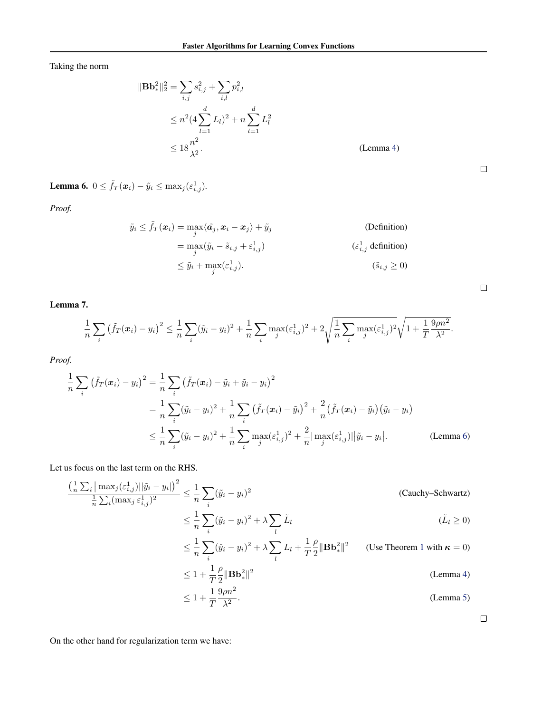Taking the norm

$$
\|\mathbf{B}\mathbf{b}_{*}^{2}\|_{2}^{2} = \sum_{i,j} s_{i,j}^{2} + \sum_{i,l} p_{i,l}^{2}
$$
  
\n
$$
\leq n^{2} (4 \sum_{l=1}^{d} L_{l})^{2} + n \sum_{l=1}^{d} L_{l}^{2}
$$
  
\n
$$
\leq 18 \frac{n^{2}}{\lambda^{2}}.
$$
 (Lemma 4)

<span id="page-14-0"></span>**Lemma 6.**  $0 \leq \tilde{f}_T(\boldsymbol{x}_i) - \tilde{y}_i \leq \max_j(\varepsilon^1_{i,j}).$ 

*Proof.*

$$
\tilde{y}_i \leq \tilde{f}_T(\boldsymbol{x}_i) = \max_j \langle \tilde{a}_j, \boldsymbol{x}_i - \boldsymbol{x}_j \rangle + \tilde{y}_j
$$
\n
$$
= \max_j (\tilde{y}_i - \tilde{s}_{i,j} + \varepsilon_{i,j}^1)
$$
\n
$$
\leq \tilde{y}_i + \max_j (\varepsilon_{i,j}^1).
$$
\n
$$
(S_{i,j} \geq 0)
$$
\n
$$
(S_{i,j} \geq 0)
$$

<span id="page-14-1"></span>Lemma 7.

$$
\frac{1}{n}\sum_{i} \left(\tilde{f}_{T}(\boldsymbol{x}_{i}) - y_{i}\right)^{2} \leq \frac{1}{n}\sum_{i} (\tilde{y}_{i} - y_{i})^{2} + \frac{1}{n}\sum_{i} \max_{j} (\varepsilon_{i,j}^{1})^{2} + 2\sqrt{\frac{1}{n}\sum_{i} \max_{j} (\varepsilon_{i,j}^{1})^{2}}\sqrt{1 + \frac{1}{T}\frac{9\rho n^{2}}{\lambda^{2}}}.
$$

*Proof.*

$$
\frac{1}{n}\sum_{i} \left(\tilde{f}_{T}(\boldsymbol{x}_{i}) - y_{i}\right)^{2} = \frac{1}{n}\sum_{i} \left(\tilde{f}_{T}(\boldsymbol{x}_{i}) - \tilde{y}_{i} + \tilde{y}_{i} - y_{i}\right)^{2}
$$
\n
$$
= \frac{1}{n}\sum_{i} (\tilde{y}_{i} - y_{i})^{2} + \frac{1}{n}\sum_{i} \left(\tilde{f}_{T}(\boldsymbol{x}_{i}) - \tilde{y}_{i}\right)^{2} + \frac{2}{n}\left(\tilde{f}_{T}(\boldsymbol{x}_{i}) - \tilde{y}_{i}\right)\left(\tilde{y}_{i} - y_{i}\right)
$$
\n
$$
\leq \frac{1}{n}\sum_{i} (\tilde{y}_{i} - y_{i})^{2} + \frac{1}{n}\sum_{i} \max_{j} (\varepsilon_{i,j}^{1})^{2} + \frac{2}{n}|\max_{j} (\varepsilon_{i,j}^{1})||\tilde{y}_{i} - y_{i}|.
$$
\n(Lemma 6)

Let us focus on the last term on the RHS.

$$
\frac{\left(\frac{1}{n}\sum_{i}|\max_{j}(\varepsilon_{i,j}^{1})||\tilde{y}_{i}-y_{i}|\right)^{2}}{\frac{1}{n}\sum_{i}(\max_{j}\varepsilon_{i,j}^{1})^{2}} \leq \frac{1}{n}\sum_{i}(\tilde{y}_{i}-y_{i})^{2}
$$
\n(Cauchy-Schwartz)\n
$$
\leq \frac{1}{n}\sum_{i}(\tilde{y}_{i}-y_{i})^{2} + \lambda \sum_{l}\tilde{L}_{l}
$$
\n
$$
\leq \frac{1}{n}\sum_{i}(\tilde{y}_{i}-y_{i})^{2} + \lambda \sum_{l}L_{l} + \frac{1}{T}\frac{\rho}{2}||\mathbf{B}\mathbf{b}_{*}^{2}||^{2}
$$
\n(Use Theorem 1 with  $\kappa = 0$ )\n
$$
\leq 1 + \frac{1}{T}\frac{\rho}{2}||\mathbf{B}\mathbf{b}_{*}^{2}||^{2}
$$
\n(Lemma 4)\n
$$
\leq 1 + \frac{1}{T}\frac{9\rho n^{2}}{\lambda^{2}}.
$$
\n(Lemma 5)

 $\Box$ 

On the other hand for regularization term we have:

 $\Box$ 

 $\Box$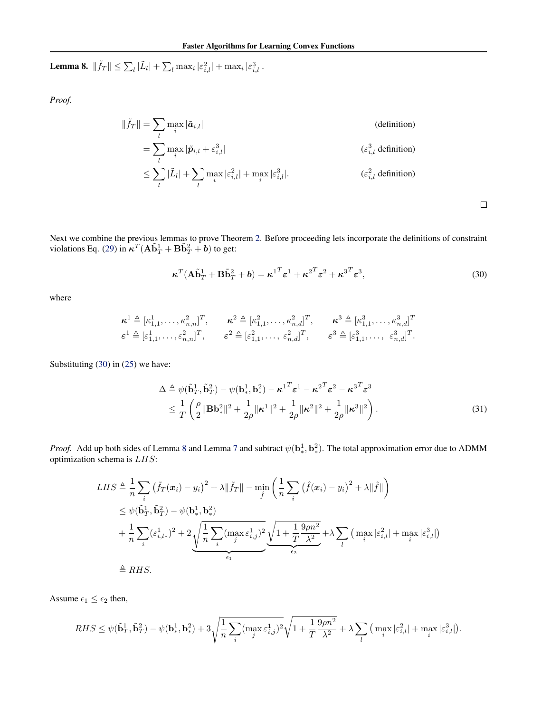<span id="page-15-1"></span>**Lemma 8.**  $\|\tilde{f}_T\| \le \sum_l |\tilde{L}_l| + \sum_l \max_i |\varepsilon_{i,l}^2| + \max_i |\varepsilon_{i,l}^3|$ .

*Proof.*

$$
\|\tilde{f}_T\| = \sum_l \max_i |\tilde{a}_{i,l}| \qquad (definition)
$$
  
\n
$$
= \sum_l \max_i |\tilde{p}_{i,l} + \varepsilon_{i,l}^3|
$$
  
\n
$$
\leq \sum_l |\tilde{L}_l| + \sum_l \max_i |\varepsilon_{i,l}^2| + \max_i |\varepsilon_{i,l}^3|.
$$
  
\n
$$
(\varepsilon_{i,l}^3 \text{ definition})
$$
  
\n
$$
(\varepsilon_{i,l}^2 \text{ definition})
$$

Next we combine the previous lemmas to prove Theorem [2.](#page-3-5) Before proceeding lets incorporate the definitions of constraint violations Eq. [\(29\)](#page-13-2) in  $\boldsymbol{\kappa}^T (\mathbf{A} \tilde{\mathbf{b}}_T^1 + \mathbf{B} \tilde{\mathbf{b}}_T^2 + \boldsymbol{b})$  to get:

$$
\boldsymbol{\kappa}^T (\mathbf{A} \tilde{\mathbf{b}}_T^1 + \mathbf{B} \tilde{\mathbf{b}}_T^2 + \boldsymbol{b}) = \boldsymbol{\kappa}^{1T} \boldsymbol{\varepsilon}^1 + \boldsymbol{\kappa}^{2T} \boldsymbol{\varepsilon}^2 + \boldsymbol{\kappa}^{3T} \boldsymbol{\varepsilon}^3, \tag{30}
$$

<span id="page-15-2"></span><span id="page-15-0"></span> $\Box$ 

where

$$
\begin{aligned}\n\boldsymbol{\kappa}^{1} &\triangleq [\kappa_{1,1}^{1}, \ldots, \kappa_{n,n}^{2}]^{T}, & \boldsymbol{\kappa}^{2} &\triangleq [\kappa_{1,1}^{2}, \ldots, \kappa_{n,d}^{2}]^{T}, & \boldsymbol{\kappa}^{3} &\triangleq [\kappa_{1,1}^{3}, \ldots, \kappa_{n,d}^{3}]^{T} \\
\boldsymbol{\varepsilon}^{1} &\triangleq [\varepsilon_{1,1}^{1}, \ldots, \varepsilon_{n,n}^{2}]^{T}, & \boldsymbol{\varepsilon}^{2} &\triangleq [\varepsilon_{1,1}^{2}, \ldots, \varepsilon_{n,d}^{2}]^{T}, & \boldsymbol{\varepsilon}^{3} &\triangleq [\varepsilon_{1,1}^{3}, \ldots, \varepsilon_{n,d}^{3}]^{T}.\n\end{aligned}
$$

Substituting [\(30\)](#page-15-0) in [\(25\)](#page-12-3) we have:

$$
\Delta \triangleq \psi(\tilde{\mathbf{b}}_T^1, \tilde{\mathbf{b}}_T^2) - \psi(\mathbf{b}_*^1, \mathbf{b}_*^2) - {\boldsymbol{\kappa}^1}^T {\boldsymbol{\varepsilon}}^1 - {\boldsymbol{\kappa}^2}^T {\boldsymbol{\varepsilon}}^2 - {\boldsymbol{\kappa}^3}^T {\boldsymbol{\varepsilon}}^3 \n\leq \frac{1}{T} \left( \frac{\rho}{2} \|\mathbf{B}\mathbf{b}_*^2\|^2 + \frac{1}{2\rho} \|\mathbf{\kappa}^1\|^2 + \frac{1}{2\rho} \|\mathbf{\kappa}^2\|^2 + \frac{1}{2\rho} \|\mathbf{\kappa}^3\|^2 \right).
$$
\n(31)

*Proof.* Add up both sides of Lemma [8](#page-15-1) and Lemma [7](#page-14-1) and subtract  $\psi(\mathbf{b}_*^1, \mathbf{b}_*^2)$ . The total approximation error due to ADMM optimization schema is  $LHS$ :

$$
LHS \triangleq \frac{1}{n} \sum_{i} (\tilde{f}_{T}(\boldsymbol{x}_{i}) - y_{i})^{2} + \lambda ||\tilde{f}_{T}|| - \min_{\hat{f}} \left( \frac{1}{n} \sum_{i} (\hat{f}(\boldsymbol{x}_{i}) - y_{i})^{2} + \lambda ||\hat{f}|| \right)
$$
  
\n
$$
\leq \psi(\tilde{\mathbf{b}}_{T}^{1}, \tilde{\mathbf{b}}_{T}^{2}) - \psi(\mathbf{b}_{*}^{1}, \mathbf{b}_{*}^{2})
$$
  
\n
$$
+ \frac{1}{n} \sum_{i} (\varepsilon_{i, l*}^{1})^{2} + 2 \underbrace{\sqrt{\frac{1}{n} \sum_{i} (\max_{j} \varepsilon_{i, j}^{1})^{2}}}_{\varepsilon_{1}} \underbrace{\sqrt{1 + \frac{1}{T} \frac{9\rho n^{2}}{\lambda^{2}}}}_{\varepsilon_{2}} + \lambda \sum_{l} (\max_{i} |\varepsilon_{i, l}^{2}| + \max_{i} |\varepsilon_{i, l}^{3}|)
$$
  
\n
$$
\triangleq RHS.
$$

Assume  $\epsilon_1 \leq \epsilon_2$  then,

$$
RHS \leq \psi(\tilde{\mathbf{b}}_T^1, \tilde{\mathbf{b}}_T^2) - \psi(\mathbf{b}_*^1, \mathbf{b}_*^2) + 3\sqrt{\frac{1}{n}\sum_i (\max_j \varepsilon_{i,j}^1)^2} \sqrt{1 + \frac{1}{T}\frac{9\rho n^2}{\lambda^2}} + \lambda \sum_l (\max_i |\varepsilon_{i,l}^2| + \max_i |\varepsilon_{i,l}^3|).
$$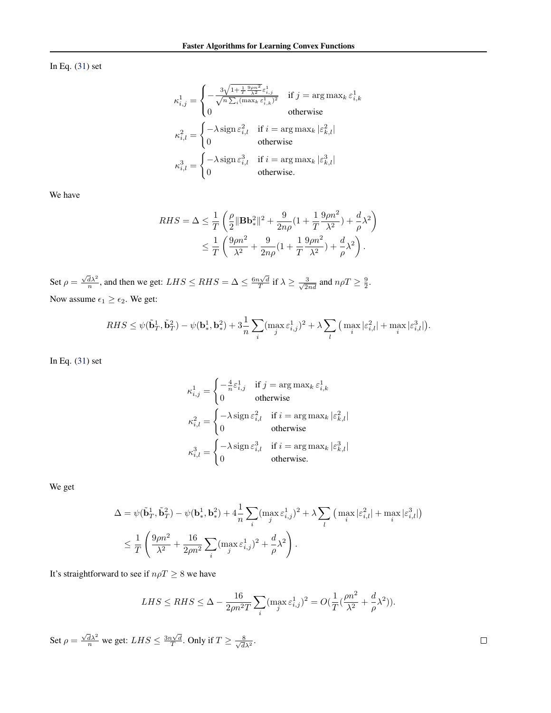In Eq. [\(31\)](#page-15-2) set

$$
\kappa_{i,j}^1 = \begin{cases}\n-\frac{3\sqrt{1 + \frac{1}{T}\frac{9\rho n^2}{\lambda^2}}\varepsilon_{i,j}^1}{\sqrt{n\sum_i (\max_k \varepsilon_{i,k}^1)^2}} & \text{if } j = \arg\max_k \varepsilon_{i,k}^1 \\
0 & \text{otherwise}\n\end{cases}
$$
\n
$$
\kappa_{i,l}^2 = \begin{cases}\n-\lambda \operatorname{sign} \varepsilon_{i,l}^2 & \text{if } i = \arg\max_k |\varepsilon_{k,l}^2| \\
0 & \text{otherwise}\n\end{cases}
$$
\n
$$
\kappa_{i,l}^3 = \begin{cases}\n-\lambda \operatorname{sign} \varepsilon_{i,l}^3 & \text{if } i = \arg\max_k |\varepsilon_{k,l}^3| \\
0 & \text{otherwise}\n\end{cases}
$$

We have

$$
\begin{split} RHS = \Delta &\leq \frac{1}{T}\left(\frac{\rho}{2}\Vert\mathbf{B}\mathbf{b}^2_*\Vert^2 + \frac{9}{2n\rho}(1+\frac{1}{T}\frac{9\rho n^2}{\lambda^2}) + \frac{d}{\rho}\lambda^2\right) \\ &\leq \frac{1}{T}\left(\frac{9\rho n^2}{\lambda^2} + \frac{9}{2n\rho}(1+\frac{1}{T}\frac{9\rho n^2}{\lambda^2}) + \frac{d}{\rho}\lambda^2\right). \end{split}
$$

Set  $\rho = \frac{\sqrt{d\lambda^2}}{n}$ , and then we get:  $LHS \le RHS = \Delta \le \frac{6n\sqrt{d}}{T}$  if  $\lambda \ge \frac{3}{\sqrt{2nd}}$  and  $n\rho T \ge \frac{9}{2}$ . Now assume  $\epsilon_1 \geq \epsilon_2$ . We get:

$$
RHS \leq \psi(\tilde{\mathbf{b}}_T^1, \tilde{\mathbf{b}}_T^2) - \psi(\mathbf{b}_*^1, \mathbf{b}_*^2) + 3\frac{1}{n} \sum_i (\max_j \varepsilon_{i,j}^1)^2 + \lambda \sum_l (\max_i |\varepsilon_{i,l}^2| + \max_i |\varepsilon_{i,l}^3|).
$$

In Eq. [\(31\)](#page-15-2) set

$$
\kappa_{i,j}^1 = \begin{cases}\n-\frac{4}{n}\varepsilon_{i,j}^1 & \text{if } j = \arg \max_k \varepsilon_{i,k}^1 \\
0 & \text{otherwise}\n\end{cases}
$$
\n
$$
\kappa_{i,l}^2 = \begin{cases}\n-\lambda \operatorname{sign} \varepsilon_{i,l}^2 & \text{if } i = \arg \max_k |\varepsilon_{k,l}^2| \\
0 & \text{otherwise}\n\end{cases}
$$
\n
$$
\kappa_{i,l}^3 = \begin{cases}\n-\lambda \operatorname{sign} \varepsilon_{i,l}^3 & \text{if } i = \arg \max_k |\varepsilon_{k,l}^3| \\
0 & \text{otherwise}\n\end{cases}
$$

We get

$$
\begin{aligned} \Delta &= \psi(\tilde{\mathbf{b}}_T^1, \tilde{\mathbf{b}}_T^2) - \psi(\mathbf{b}_*^1, \mathbf{b}_*^2) + 4\frac{1}{n}\sum_i (\max_j \varepsilon_{i,j}^1)^2 + \lambda \sum_l \left(\max_i |\varepsilon_{i,l}^2| + \max_i |\varepsilon_{i,l}^3|\right) \\ &\leq \frac{1}{T}\left(\frac{9\rho n^2}{\lambda^2} + \frac{16}{2\rho n^2}\sum_i (\max_j \varepsilon_{i,j}^1)^2 + \frac{d}{\rho}\lambda^2\right). \end{aligned}
$$

It's straightforward to see if  $n\rho T\geq 8$  we have

$$
LHS \le RHS \le \Delta - \frac{16}{2\rho n^2 T} \sum_i (\max_j \varepsilon_{i,j}^1)^2 = O(\frac{1}{T}(\frac{\rho n^2}{\lambda^2} + \frac{d}{\rho}\lambda^2)).
$$

Set  $\rho = \frac{\sqrt{d\lambda^2}}{n}$  we get:  $LHS \leq \frac{3n\sqrt{d}}{T}$ . Only if  $T \geq \frac{8}{\sqrt{d}}$  $\frac{8}{d\lambda^2}$ .

 $\Box$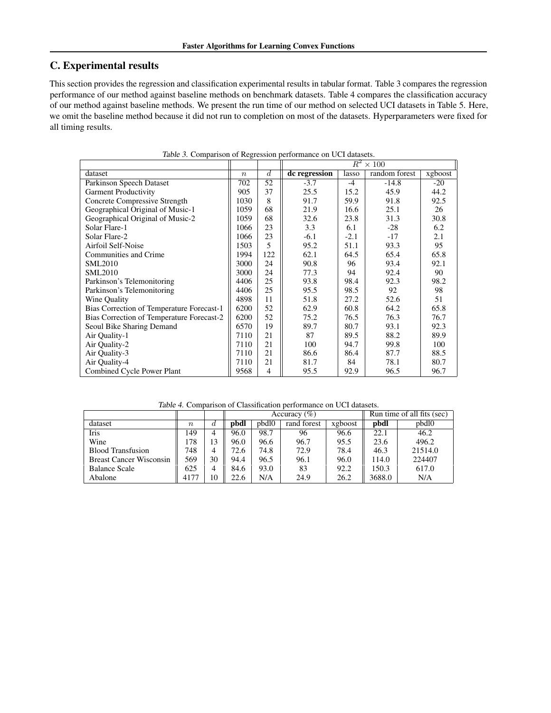## C. Experimental results

This section provides the regression and classification experimental results in tabular format. Table 3 compares the regression performance of our method against baseline methods on benchmark datasets. Table 4 compares the classification accuracy of our method against baseline methods. We present the run time of our method on selected UCI datasets in Table 5. Here, we omit the baseline method because it did not run to completion on most of the datasets. Hyperparameters were fixed for all timing results.

|                                           |                  |                | $R^2 \times 100$ |        |               |         |
|-------------------------------------------|------------------|----------------|------------------|--------|---------------|---------|
| dataset                                   | $\boldsymbol{n}$ | $\overline{d}$ | dc regression    | lasso  | random forest | xgboost |
| Parkinson Speech Dataset                  | 702              | 52             | $-3.7$           | $-4$   | $-14.8$       | $-20$   |
| <b>Garment Productivity</b>               | 905              | 37             | 25.5             | 15.2   | 45.9          | 44.2    |
| Concrete Compressive Strength             | 1030             | 8              | 91.7             | 59.9   | 91.8          | 92.5    |
| Geographical Original of Music-1          | 1059             | 68             | 21.9             | 16.6   | 25.1          | 26      |
| Geographical Original of Music-2          | 1059             | 68             | 32.6             | 23.8   | 31.3          | 30.8    |
| Solar Flare-1                             | 1066             | 23             | 3.3              | 6.1    | $-28$         | 6.2     |
| Solar Flare-2                             | 1066             | 23             | $-6.1$           | $-2.1$ | $-17$         | 2.1     |
| Airfoil Self-Noise                        | 1503             | 5              | 95.2             | 51.1   | 93.3          | 95      |
| Communities and Crime                     | 1994             | 122            | 62.1             | 64.5   | 65.4          | 65.8    |
| <b>SML2010</b>                            | 3000             | 24             | 90.8             | 96     | 93.4          | 92.1    |
| <b>SML2010</b>                            | 3000             | 24             | 77.3             | 94     | 92.4          | 90      |
| Parkinson's Telemonitoring                | 4406             | 25             | 93.8             | 98.4   | 92.3          | 98.2    |
| Parkinson's Telemonitoring                | 4406             | 25             | 95.5             | 98.5   | 92            | 98      |
| Wine Quality                              | 4898             | 11             | 51.8             | 27.2   | 52.6          | 51      |
| Bias Correction of Temperature Forecast-1 | 6200             | 52             | 62.9             | 60.8   | 64.2          | 65.8    |
| Bias Correction of Temperature Forecast-2 | 6200             | 52             | 75.2             | 76.5   | 76.3          | 76.7    |
| Seoul Bike Sharing Demand                 | 6570             | 19             | 89.7             | 80.7   | 93.1          | 92.3    |
| Air Quality-1                             | 7110             | 21             | 87               | 89.5   | 88.2          | 89.9    |
| Air Ouality-2                             | 7110             | 21             | 100              | 94.7   | 99.8          | 100     |
| Air Quality-3                             | 7110             | 21             | 86.6             | 86.4   | 87.7          | 88.5    |
| Air Quality-4                             | 7110             | 21             | 81.7             | 84     | 78.1          | 80.7    |
| Combined Cycle Power Plant                | 9568             | $\overline{4}$ | 95.5             | 92.9   | 96.5          | 96.7    |

Table 3. Comparison of Regression performance on UCI datasets.

|                                |                  |    |      |       | Accuracy $(\%)$ |         | Run time of all fits (sec) |         |
|--------------------------------|------------------|----|------|-------|-----------------|---------|----------------------------|---------|
| dataset                        | $\boldsymbol{n}$ | d  | pbdl | pbdl0 | rand forest     | xgboost | pbdl                       | pbdl0   |
| Iris                           | 149              | 4  | 96.0 | 98.7  | 96              | 96.6    | 22.1                       | 46.2    |
| Wine                           | 178              | 13 | 96.0 | 96.6  | 96.7            | 95.5    | 23.6                       | 496.2   |
| <b>Blood Transfusion</b>       | 748              | 4  | 72.6 | 74.8  | 72.9            | 78.4    | 46.3                       | 21514.0 |
| <b>Breast Cancer Wisconsin</b> | 569              | 30 | 94.4 | 96.5  | 96.1            | 96.0    | 114.0                      | 224407  |
| <b>Balance Scale</b>           | 625              | 4  | 84.6 | 93.0  | 83              | 92.2    | 150.3                      | 617.0   |
| Abalone                        | 4177             | 10 | 22.6 | N/A   | 24.9            | 26.2    | 3688.0                     | N/A     |